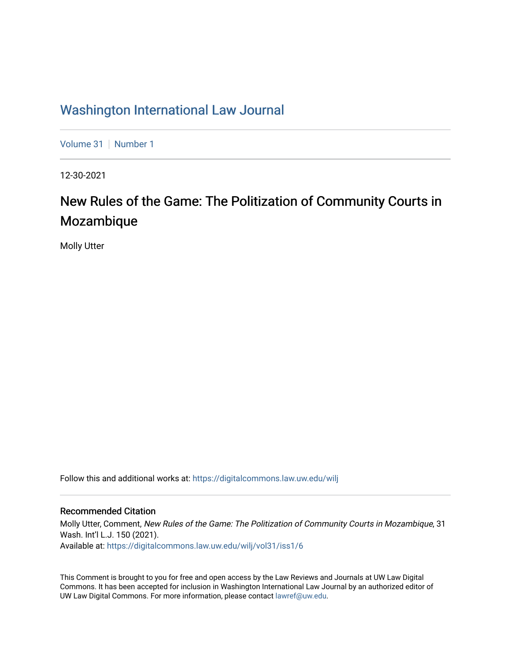# [Washington International Law Journal](https://digitalcommons.law.uw.edu/wilj)

[Volume 31](https://digitalcommons.law.uw.edu/wilj/vol31) | [Number 1](https://digitalcommons.law.uw.edu/wilj/vol31/iss1)

12-30-2021

# New Rules of the Game: The Politization of Community Courts in Mozambique

Molly Utter

Follow this and additional works at: [https://digitalcommons.law.uw.edu/wilj](https://digitalcommons.law.uw.edu/wilj?utm_source=digitalcommons.law.uw.edu%2Fwilj%2Fvol31%2Fiss1%2F6&utm_medium=PDF&utm_campaign=PDFCoverPages) 

#### Recommended Citation

Molly Utter, Comment, New Rules of the Game: The Politization of Community Courts in Mozambique, 31 Wash. Int'l L.J. 150 (2021). Available at: [https://digitalcommons.law.uw.edu/wilj/vol31/iss1/6](https://digitalcommons.law.uw.edu/wilj/vol31/iss1/6?utm_source=digitalcommons.law.uw.edu%2Fwilj%2Fvol31%2Fiss1%2F6&utm_medium=PDF&utm_campaign=PDFCoverPages) 

This Comment is brought to you for free and open access by the Law Reviews and Journals at UW Law Digital Commons. It has been accepted for inclusion in Washington International Law Journal by an authorized editor of UW Law Digital Commons. For more information, please contact [lawref@uw.edu](mailto:lawref@uw.edu).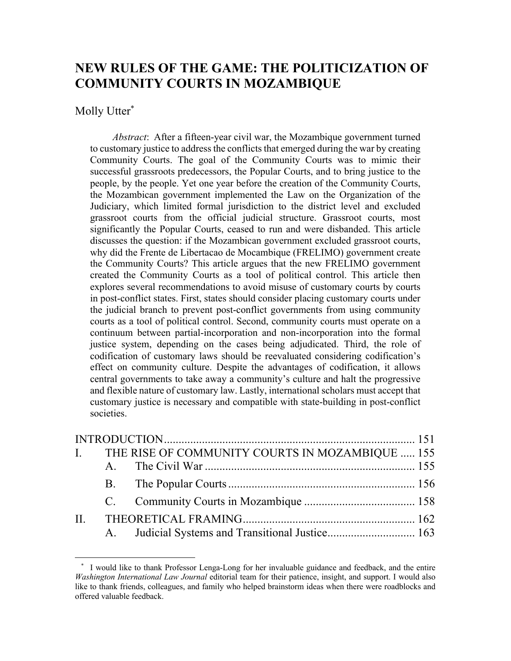# **NEW RULES OF THE GAME: THE POLITICIZATION OF COMMUNITY COURTS IN MOZAMBIQUE**

#### Molly Utter\*

*Abstract*: After a fifteen-year civil war, the Mozambique government turned to customary justice to address the conflicts that emerged during the war by creating Community Courts. The goal of the Community Courts was to mimic their successful grassroots predecessors, the Popular Courts, and to bring justice to the people, by the people. Yet one year before the creation of the Community Courts, the Mozambican government implemented the Law on the Organization of the Judiciary, which limited formal jurisdiction to the district level and excluded grassroot courts from the official judicial structure. Grassroot courts, most significantly the Popular Courts, ceased to run and were disbanded. This article discusses the question: if the Mozambican government excluded grassroot courts, why did the Frente de Libertacao de Mocambique (FRELIMO) government create the Community Courts? This article argues that the new FRELIMO government created the Community Courts as a tool of political control. This article then explores several recommendations to avoid misuse of customary courts by courts in post-conflict states. First, states should consider placing customary courts under the judicial branch to prevent post-conflict governments from using community courts as a tool of political control. Second, community courts must operate on a continuum between partial-incorporation and non-incorporation into the formal justice system, depending on the cases being adjudicated. Third, the role of codification of customary laws should be reevaluated considering codification's effect on community culture. Despite the advantages of codification, it allows central governments to take away a community's culture and halt the progressive and flexible nature of customary law. Lastly, international scholars must accept that customary justice is necessary and compatible with state-building in post-conflict societies.

|  | I. THE RISE OF COMMUNITY COURTS IN MOZAMBIQUE  155 |  |
|--|----------------------------------------------------|--|
|  |                                                    |  |
|  |                                                    |  |
|  |                                                    |  |
|  |                                                    |  |
|  | A. Judicial Systems and Transitional Justice 163   |  |

I would like to thank Professor Lenga-Long for her invaluable guidance and feedback, and the entire *Washington International Law Journal* editorial team for their patience, insight, and support. I would also like to thank friends, colleagues, and family who helped brainstorm ideas when there were roadblocks and offered valuable feedback.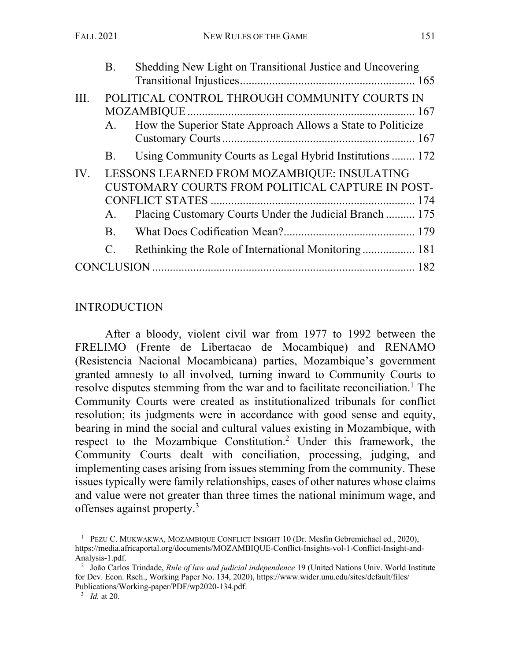|      | <b>B.</b>   | Shedding New Light on Transitional Justice and Uncovering                                                                                                  |  |
|------|-------------|------------------------------------------------------------------------------------------------------------------------------------------------------------|--|
| III. | A.          | POLITICAL CONTROL THROUGH COMMUNITY COURTS IN<br>How the Superior State Approach Allows a State to Politicize                                              |  |
|      | <b>B.</b>   | Using Community Courts as Legal Hybrid Institutions  172                                                                                                   |  |
| IV.  | A.          | LESSONS LEARNED FROM MOZAMBIQUE: INSULATING<br>CUSTOMARY COURTS FROM POLITICAL CAPTURE IN POST-<br>Placing Customary Courts Under the Judicial Branch  175 |  |
|      | B.          |                                                                                                                                                            |  |
|      | $C_{\cdot}$ | Rethinking the Role of International Monitoring 181                                                                                                        |  |
|      |             |                                                                                                                                                            |  |

### INTRODUCTION

After a bloody, violent civil war from 1977 to 1992 between the FRELIMO (Frente de Libertacao de Mocambique) and RENAMO (Resistencia Nacional Mocambicana) parties, Mozambique's government granted amnesty to all involved, turning inward to Community Courts to resolve disputes stemming from the war and to facilitate reconciliation. <sup>1</sup> The Community Courts were created as institutionalized tribunals for conflict resolution; its judgments were in accordance with good sense and equity, bearing in mind the social and cultural values existing in Mozambique, with respect to the Mozambique Constitution.2 Under this framework, the Community Courts dealt with conciliation, processing, judging, and implementing cases arising from issues stemming from the community. These issues typically were family relationships, cases of other natures whose claims and value were not greater than three times the national minimum wage, and offenses against property.3

<sup>&</sup>lt;sup>1</sup> PEZU C. MUKWAKWA, MOZAMBIQUE CONFLICT INSIGHT 10 (Dr. Mesfin Gebremichael ed., 2020), https://media.africaportal.org/documents/MOZAMBIQUE-Conflict-Insights-vol-1-Conflict-Insight-and-Analysis-1.pdf.

<sup>2</sup> João Carlos Trindade, *Rule of law and judicial independence* 19 (United Nations Univ. World Institute for Dev. Econ. Rsch., Working Paper No. 134, 2020), https://www.wider.unu.edu/sites/default/files/ Publications/Working-paper/PDF/wp2020-134.pdf.

<sup>3</sup> *Id.* at 20.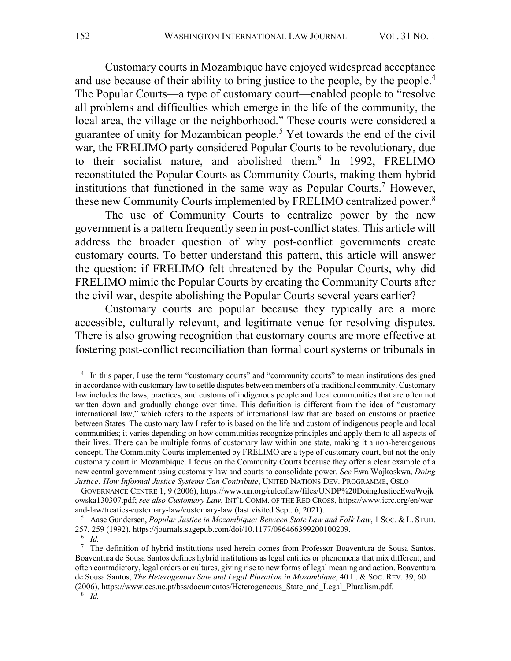Customary courts in Mozambique have enjoyed widespread acceptance and use because of their ability to bring justice to the people, by the people.<sup>4</sup> The Popular Courts—a type of customary court—enabled people to "resolve all problems and difficulties which emerge in the life of the community, the local area, the village or the neighborhood." These courts were considered a guarantee of unity for Mozambican people.5 Yet towards the end of the civil war, the FRELIMO party considered Popular Courts to be revolutionary, due to their socialist nature, and abolished them. <sup>6</sup> In 1992, FRELIMO reconstituted the Popular Courts as Community Courts, making them hybrid institutions that functioned in the same way as Popular Courts.<sup>7</sup> However, these new Community Courts implemented by FRELIMO centralized power.8

The use of Community Courts to centralize power by the new government is a pattern frequently seen in post-conflict states. This article will address the broader question of why post-conflict governments create customary courts. To better understand this pattern, this article will answer the question: if FRELIMO felt threatened by the Popular Courts, why did FRELIMO mimic the Popular Courts by creating the Community Courts after the civil war, despite abolishing the Popular Courts several years earlier?

Customary courts are popular because they typically are a more accessible, culturally relevant, and legitimate venue for resolving disputes. There is also growing recognition that customary courts are more effective at fostering post-conflict reconciliation than formal court systems or tribunals in

<sup>8</sup> *Id.*

<sup>4</sup> In this paper, I use the term "customary courts" and "community courts" to mean institutions designed in accordance with customary law to settle disputes between members of a traditional community. Customary law includes the laws, practices, and customs of indigenous people and local communities that are often not written down and gradually change over time. This definition is different from the idea of "customary international law," which refers to the aspects of international law that are based on customs or practice between States. The customary law I refer to is based on the life and custom of indigenous people and local communities; it varies depending on how communities recognize principles and apply them to all aspects of their lives. There can be multiple forms of customary law within one state, making it a non-heterogenous concept. The Community Courts implemented by FRELIMO are a type of customary court, but not the only customary court in Mozambique. I focus on the Community Courts because they offer a clear example of a new central government using customary law and courts to consolidate power. *See* Ewa Wojkoskwa, *Doing Justice: How Informal Justice Systems Can Contribute*, UNITED NATIONS DEV. PROGRAMME, OSLO

GOVERNANCE CENTRE 1, 9 (2006), https://www.un.org/ruleoflaw/files/UNDP%20DoingJusticeEwaWojk owska130307.pdf; *see also Customary Law*, INT'L COMM. OF THE RED CROSS, https://www.icrc.org/en/warand-law/treaties-customary-law/customary-law (last visited Sept. 6, 2021).

<sup>5</sup> Aase Gundersen, *Popular Justice in Mozambique: Between State Law and Folk Law*, 1 SOC. & L. STUD. 257, 259 (1992), https://journals.sagepub.com/doi/10.1177/096466399200100209.

<sup>6</sup> *Id.* 

 $<sup>7</sup>$  The definition of hybrid institutions used herein comes from Professor Boaventura de Sousa Santos.</sup> Boaventura de Sousa Santos defines hybrid institutions as legal entities or phenomena that mix different, and often contradictory, legal orders or cultures, giving rise to new forms of legal meaning and action. Boaventura de Sousa Santos, *The Heterogenous Sate and Legal Pluralism in Mozambique*, 40 L. & SOC. REV. 39, 60 (2006), https://www.ces.uc.pt/bss/documentos/Heterogeneous\_State\_and\_Legal\_Pluralism.pdf.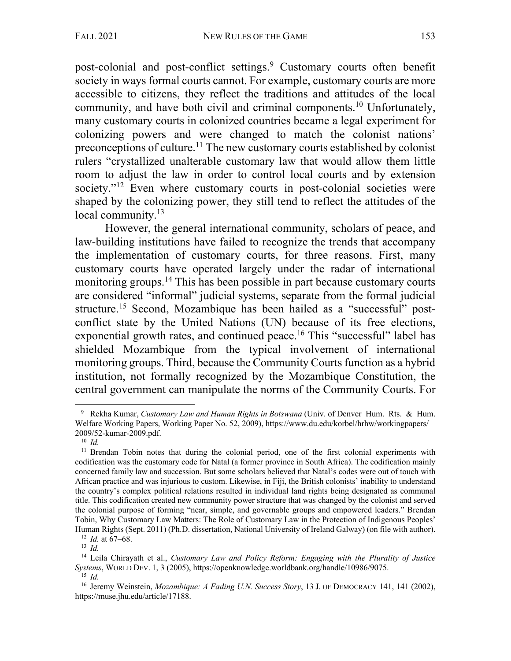post-colonial and post-conflict settings.<sup>9</sup> Customary courts often benefit society in ways formal courts cannot. For example, customary courts are more accessible to citizens, they reflect the traditions and attitudes of the local community, and have both civil and criminal components.10 Unfortunately, many customary courts in colonized countries became a legal experiment for colonizing powers and were changed to match the colonist nations' preconceptions of culture.<sup>11</sup> The new customary courts established by colonist rulers "crystallized unalterable customary law that would allow them little room to adjust the law in order to control local courts and by extension society."<sup>12</sup> Even where customary courts in post-colonial societies were shaped by the colonizing power, they still tend to reflect the attitudes of the local community.<sup>13</sup>

However, the general international community, scholars of peace, and law-building institutions have failed to recognize the trends that accompany the implementation of customary courts, for three reasons. First, many customary courts have operated largely under the radar of international monitoring groups.<sup>14</sup> This has been possible in part because customary courts are considered "informal" judicial systems, separate from the formal judicial structure.15 Second, Mozambique has been hailed as a "successful" postconflict state by the United Nations (UN) because of its free elections, exponential growth rates, and continued peace.<sup>16</sup> This "successful" label has shielded Mozambique from the typical involvement of international monitoring groups. Third, because the Community Courts function as a hybrid institution, not formally recognized by the Mozambique Constitution, the central government can manipulate the norms of the Community Courts. For

<sup>9</sup> Rekha Kumar, *Customary Law and Human Rights in Botswana* (Univ. of Denver Hum. Rts. & Hum. Welfare Working Papers, Working Paper No. 52, 2009), https://www.du.edu/korbel/hrhw/workingpapers/ 2009/52-kumar-2009.pdf.

<sup>10</sup> *Id.*

<sup>&</sup>lt;sup>11</sup> Brendan Tobin notes that during the colonial period, one of the first colonial experiments with codification was the customary code for Natal (a former province in South Africa). The codification mainly concerned family law and succession. But some scholars believed that Natal's codes were out of touch with African practice and was injurious to custom. Likewise, in Fiji, the British colonists' inability to understand the country's complex political relations resulted in individual land rights being designated as communal title. This codification created new community power structure that was changed by the colonist and served the colonial purpose of forming "near, simple, and governable groups and empowered leaders." Brendan Tobin, Why Customary Law Matters: The Role of Customary Law in the Protection of Indigenous Peoples' Human Rights (Sept. 2011) (Ph.D. dissertation, National University of Ireland Galway) (on file with author).

 $\frac{12}{13}$  *Id.* at 67–68.

<sup>14</sup> Leila Chirayath et al., *Customary Law and Policy Reform: Engaging with the Plurality of Justice Systems*, WORLD DEV. 1, 3 (2005), https://openknowledge.worldbank.org/handle/10986/9075.  $^{15}$  *Id*.

<sup>&</sup>lt;sup>16</sup> Jeremy Weinstein, *Mozambique: A Fading U.N. Success Story*, 13 J. OF DEMOCRACY 141, 141 (2002), https://muse.jhu.edu/article/17188.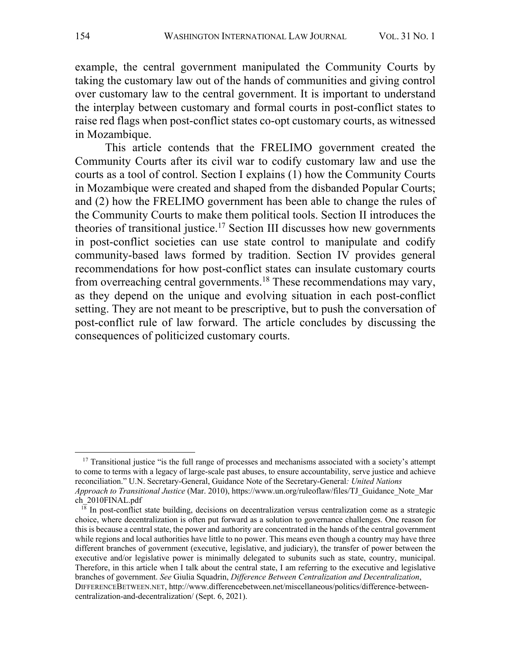example, the central government manipulated the Community Courts by taking the customary law out of the hands of communities and giving control over customary law to the central government. It is important to understand the interplay between customary and formal courts in post-conflict states to raise red flags when post-conflict states co-opt customary courts, as witnessed in Mozambique.

This article contends that the FRELIMO government created the Community Courts after its civil war to codify customary law and use the courts as a tool of control. Section I explains (1) how the Community Courts in Mozambique were created and shaped from the disbanded Popular Courts; and (2) how the FRELIMO government has been able to change the rules of the Community Courts to make them political tools. Section II introduces the theories of transitional justice.<sup>17</sup> Section III discusses how new governments in post-conflict societies can use state control to manipulate and codify community-based laws formed by tradition. Section IV provides general recommendations for how post-conflict states can insulate customary courts from overreaching central governments.18 These recommendations may vary, as they depend on the unique and evolving situation in each post-conflict setting. They are not meant to be prescriptive, but to push the conversation of post-conflict rule of law forward. The article concludes by discussing the consequences of politicized customary courts.

<sup>&</sup>lt;sup>17</sup> Transitional justice "is the full range of processes and mechanisms associated with a society's attempt to come to terms with a legacy of large-scale past abuses, to ensure accountability, serve justice and achieve reconciliation." U.N. Secretary-General, Guidance Note of the Secretary-General*: United Nations Approach to Transitional Justice* (Mar. 2010), https://www.un.org/ruleoflaw/files/TJ\_Guidance\_Note\_Mar ch\_2010FINAL.pdf

 $1\overline{8}$  In post-conflict state building, decisions on decentralization versus centralization come as a strategic choice, where decentralization is often put forward as a solution to governance challenges. One reason for this is because a central state, the power and authority are concentrated in the hands of the central government while regions and local authorities have little to no power. This means even though a country may have three different branches of government (executive, legislative, and judiciary), the transfer of power between the executive and/or legislative power is minimally delegated to subunits such as state, country, municipal. Therefore, in this article when I talk about the central state, I am referring to the executive and legislative branches of government. *See* Giulia Squadrin, *Difference Between Centralization and Decentralization*, DIFFERENCEBETWEEN.NET, http://www.differencebetween.net/miscellaneous/politics/difference-betweencentralization-and-decentralization/ (Sept. 6, 2021).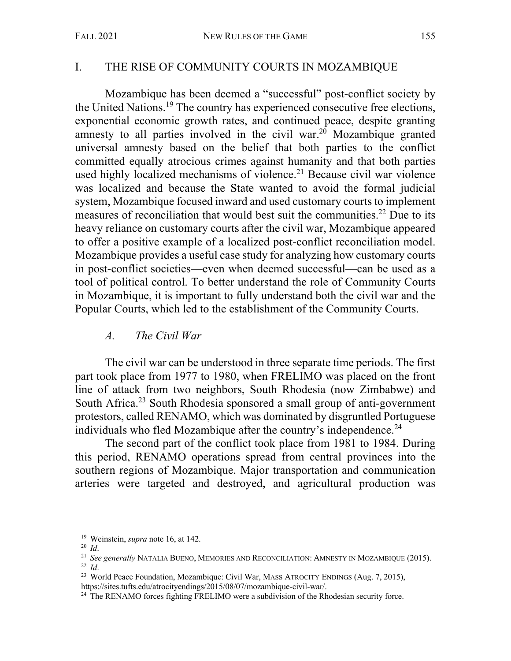#### I. THE RISE OF COMMUNITY COURTS IN MOZAMBIQUE

Mozambique has been deemed a "successful" post-conflict society by the United Nations. <sup>19</sup> The country has experienced consecutive free elections, exponential economic growth rates, and continued peace, despite granting amnesty to all parties involved in the civil war.<sup>20</sup> Mozambique granted universal amnesty based on the belief that both parties to the conflict committed equally atrocious crimes against humanity and that both parties used highly localized mechanisms of violence. <sup>21</sup> Because civil war violence was localized and because the State wanted to avoid the formal judicial system, Mozambique focused inward and used customary courts to implement measures of reconciliation that would best suit the communities.<sup>22</sup> Due to its heavy reliance on customary courts after the civil war, Mozambique appeared to offer a positive example of a localized post-conflict reconciliation model. Mozambique provides a useful case study for analyzing how customary courts in post-conflict societies—even when deemed successful—can be used as a tool of political control. To better understand the role of Community Courts in Mozambique, it is important to fully understand both the civil war and the Popular Courts, which led to the establishment of the Community Courts.

#### *A. The Civil War*

The civil war can be understood in three separate time periods. The first part took place from 1977 to 1980, when FRELIMO was placed on the front line of attack from two neighbors, South Rhodesia (now Zimbabwe) and South Africa.<sup>23</sup> South Rhodesia sponsored a small group of anti-government protestors, called RENAMO, which was dominated by disgruntled Portuguese individuals who fled Mozambique after the country's independence.<sup>24</sup>

The second part of the conflict took place from 1981 to 1984. During this period, RENAMO operations spread from central provinces into the southern regions of Mozambique. Major transportation and communication arteries were targeted and destroyed, and agricultural production was

<sup>19</sup> Weinstein, *supra* note 16, at 142. 20 *Id*.

<sup>21</sup> *See generally* NATALIA BUENO, MEMORIES AND RECONCILIATION: AMNESTY IN MOZAMBIQUE (2015). <sup>22</sup> *Id*.

<sup>&</sup>lt;sup>23</sup> World Peace Foundation, Mozambique: Civil War, MASS ATROCITY ENDINGS (Aug. 7, 2015), https://sites.tufts.edu/atrocityendings/2015/08/07/mozambique-civil-war/.

<sup>&</sup>lt;sup>24</sup> The RENAMO forces fighting FRELIMO were a subdivision of the Rhodesian security force.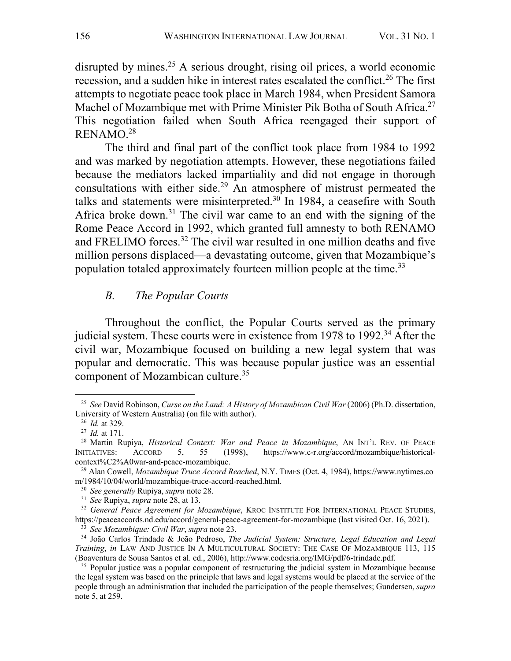disrupted by mines.<sup>25</sup> A serious drought, rising oil prices, a world economic recession, and a sudden hike in interest rates escalated the conflict. <sup>26</sup> The first attempts to negotiate peace took place in March 1984, when President Samora Machel of Mozambique met with Prime Minister Pik Botha of South Africa.<sup>27</sup> This negotiation failed when South Africa reengaged their support of RENAMO.28

The third and final part of the conflict took place from 1984 to 1992 and was marked by negotiation attempts. However, these negotiations failed because the mediators lacked impartiality and did not engage in thorough consultations with either side.<sup>29</sup> An atmosphere of mistrust permeated the talks and statements were misinterpreted.<sup>30</sup> In 1984, a ceasefire with South Africa broke down.<sup>31</sup> The civil war came to an end with the signing of the Rome Peace Accord in 1992, which granted full amnesty to both RENAMO and FRELIMO forces. <sup>32</sup> The civil war resulted in one million deaths and five million persons displaced—a devastating outcome, given that Mozambique's population totaled approximately fourteen million people at the time.<sup>33</sup>

#### *B. The Popular Courts*

Throughout the conflict, the Popular Courts served as the primary judicial system. These courts were in existence from 1978 to 1992.<sup>34</sup> After the civil war, Mozambique focused on building a new legal system that was popular and democratic. This was because popular justice was an essential component of Mozambican culture.35

<sup>25</sup> *See* David Robinson, *Curse on the Land: A History of Mozambican Civil War* (2006) (Ph.D. dissertation, University of Western Australia) (on file with author).

<sup>26</sup> *Id.* at 329.

<sup>27</sup> *Id.* at 171.

<sup>28</sup> Martin Rupiya, *Historical Context: War and Peace in Mozambique*, AN INT'L REV. OF PEACE INITIATIVES: ACCORD 5, 55 (1998), https://www.c-r.org/accord/mozambique/historicalcontext%C2%A0war-and-peace-mozambique. 29 Alan Cowell, *Mozambique Truce Accord Reached*, N.Y. TIMES (Oct. 4, 1984), https://www.nytimes.co

m/1984/10/04/world/mozambique-truce-accord-reached.html.

<sup>30</sup> *See generally* Rupiya, *supra* note 28.

<sup>31</sup> *See* Rupiya, *supra* note 28, at 13.

<sup>&</sup>lt;sup>32</sup> General Peace Agreement for Mozambique, KROC INSTITUTE FOR INTERNATIONAL PEACE STUDIES, https://peaceaccords.nd.edu/accord/general-peace-agreement-for-mozambique (last visited Oct. 16, 2021).

<sup>33</sup> *See Mozambique: Civil War*, *supra* note 23.

<sup>34</sup> João Carlos Trindade & João Pedroso, *The Judicial System: Structure, Legal Education and Legal Training*, *in* LAW AND JUSTICE IN A MULTICULTURAL SOCIETY: THE CASE OF MOZAMBIQUE 113, 115 (Boaventura de Sousa Santos et al. ed., 2006), http://www.codesria.org/IMG/pdf/6-trindade.pdf.  $35$  Popular justice was a popular component of restructuring the judicial system in Mozambique because

the legal system was based on the principle that laws and legal systems would be placed at the service of the people through an administration that included the participation of the people themselves; Gundersen, *supra*  note 5, at 259.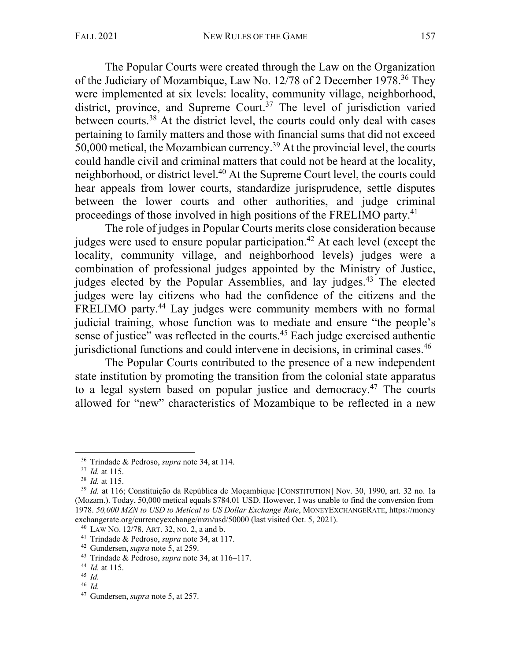The Popular Courts were created through the Law on the Organization of the Judiciary of Mozambique, Law No. 12/78 of 2 December 1978.36 They were implemented at six levels: locality, community village, neighborhood, district, province, and Supreme Court.<sup>37</sup> The level of jurisdiction varied between courts.38 At the district level, the courts could only deal with cases pertaining to family matters and those with financial sums that did not exceed 50,000 metical, the Mozambican currency.39 At the provincial level, the courts could handle civil and criminal matters that could not be heard at the locality, neighborhood, or district level.<sup>40</sup> At the Supreme Court level, the courts could hear appeals from lower courts, standardize jurisprudence, settle disputes between the lower courts and other authorities, and judge criminal proceedings of those involved in high positions of the FRELIMO party.41

The role of judges in Popular Courts merits close consideration because judges were used to ensure popular participation.<sup>42</sup> At each level (except the locality, community village, and neighborhood levels) judges were a combination of professional judges appointed by the Ministry of Justice, judges elected by the Popular Assemblies, and lay judges.<sup>43</sup> The elected judges were lay citizens who had the confidence of the citizens and the FRELIMO party.<sup>44</sup> Lay judges were community members with no formal judicial training, whose function was to mediate and ensure "the people's sense of justice" was reflected in the courts.<sup>45</sup> Each judge exercised authentic jurisdictional functions and could intervene in decisions, in criminal cases.<sup>46</sup>

The Popular Courts contributed to the presence of a new independent state institution by promoting the transition from the colonial state apparatus to a legal system based on popular justice and democracy. <sup>47</sup> The courts allowed for "new" characteristics of Mozambique to be reflected in a new

<sup>36</sup> Trindade & Pedroso, *supra* note 34, at 114.

<sup>37</sup> *Id.* at 115.

<sup>38</sup> *Id.* at 115.

<sup>&</sup>lt;sup>39</sup> *Id.* at 116; Constituição da República de Moçambique [CONSTITUTION] Nov. 30, 1990, art. 32 no. 1a (Mozam.). Today, 50,000 metical equals \$784.01 USD. However, I was unable to find the conversion from 1978. *50,000 MZN to USD to Metical to US Dollar Exchange Rate*, MONEYEXCHANGERATE, https://money exchangerate.org/currencyexchange/mzn/usd/50000 (last visited Oct. 5, 2021).<br><sup>40</sup> LAW No. 12/78, ART. 32, No. 2, a and b.<br><sup>41</sup> Trindade & Pedroso, *supra* note 34, at 117.<br><sup>42</sup> Gundersen, *supra* note 5, at 259.

<sup>&</sup>lt;sup>43</sup> Trindade & Pedroso, *supra* note 34, at 116–117.

<sup>44</sup> *Id.* at 115.

 $45$  *Id.* 

<sup>46</sup> *Id.*

<sup>47</sup> Gundersen, *supra* note 5, at 257.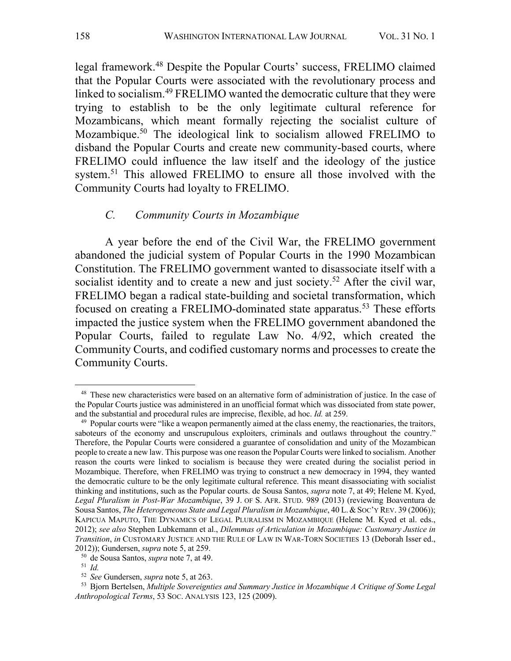legal framework.48 Despite the Popular Courts' success, FRELIMO claimed that the Popular Courts were associated with the revolutionary process and linked to socialism.49 FRELIMO wanted the democratic culture that they were trying to establish to be the only legitimate cultural reference for Mozambicans, which meant formally rejecting the socialist culture of Mozambique.50 The ideological link to socialism allowed FRELIMO to disband the Popular Courts and create new community-based courts, where FRELIMO could influence the law itself and the ideology of the justice system.<sup>51</sup> This allowed FRELIMO to ensure all those involved with the Community Courts had loyalty to FRELIMO.

#### *C. Community Courts in Mozambique*

A year before the end of the Civil War, the FRELIMO government abandoned the judicial system of Popular Courts in the 1990 Mozambican Constitution. The FRELIMO government wanted to disassociate itself with a socialist identity and to create a new and just society.<sup>52</sup> After the civil war, FRELIMO began a radical state-building and societal transformation, which focused on creating a FRELIMO-dominated state apparatus.<sup>53</sup> These efforts impacted the justice system when the FRELIMO government abandoned the Popular Courts, failed to regulate Law No. 4/92, which created the Community Courts, and codified customary norms and processes to create the Community Courts.

<sup>&</sup>lt;sup>48</sup> These new characteristics were based on an alternative form of administration of justice. In the case of the Popular Courts justice was administered in an unofficial format which was dissociated from state power, and the substantial and procedural rules are imprecise, flexible, ad hoc. *Id.* at 259.

<sup>&</sup>lt;sup>49</sup> Popular courts were "like a weapon permanently aimed at the class enemy, the reactionaries, the traitors, saboteurs of the economy and unscrupulous exploiters, criminals and outlaws throughout the country." Therefore, the Popular Courts were considered a guarantee of consolidation and unity of the Mozambican people to create a new law. This purpose was one reason the Popular Courts were linked to socialism. Another reason the courts were linked to socialism is because they were created during the socialist period in Mozambique. Therefore, when FRELIMO was trying to construct a new democracy in 1994, they wanted the democratic culture to be the only legitimate cultural reference. This meant disassociating with socialist thinking and institutions, such as the Popular courts. de Sousa Santos, *supra* note 7, at 49; Helene M. Kyed, *Legal Pluralism in Post-War Mozambique*, 39 J. OF S. AFR. STUD. 989 (2013) (reviewing Boaventura de Sousa Santos, *The Heterogeneous State and Legal Pluralism in Mozambique*, 40 L.&SOC'Y REV. 39 (2006)); KAPICUA MAPUTO, THE DYNAMICS OF LEGAL PLURALISM IN MOZAMBIQUE (Helene M. Kyed et al. eds., 2012); *see also* Stephen Lubkemann et al., *Dilemmas of Articulation in Mozambique: Customary Justice in Transition*, *in* CUSTOMARY JUSTICE AND THE RULE OF LAW IN WAR-TORN SOCIETIES 13 (Deborah Isser ed., 2012)); Gundersen, *supra* note 5, at 259.

<sup>50</sup> de Sousa Santos, *supra* note 7, at 49. 51 *Id.* 

<sup>52</sup> *See* Gundersen, *supra* note 5, at 263.

<sup>53</sup> Bjorn Bertelsen, *Multiple Sovereignties and Summary Justice in Mozambique A Critique of Some Legal Anthropological Terms*, 53 SOC. ANALYSIS 123, 125 (2009).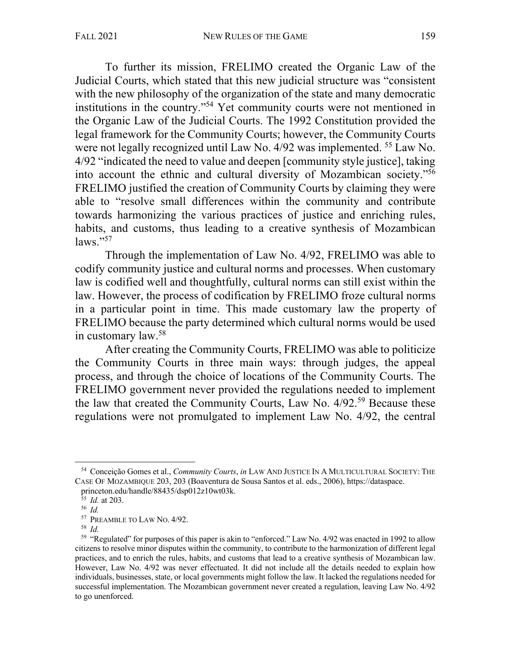To further its mission, FRELIMO created the Organic Law of the Judicial Courts, which stated that this new judicial structure was "consistent with the new philosophy of the organization of the state and many democratic institutions in the country."54 Yet community courts were not mentioned in the Organic Law of the Judicial Courts. The 1992 Constitution provided the legal framework for the Community Courts; however, the Community Courts were not legally recognized until Law No. 4/92 was implemented. <sup>55</sup> Law No. 4/92 "indicated the need to value and deepen [community style justice], taking into account the ethnic and cultural diversity of Mozambican society."56 FRELIMO justified the creation of Community Courts by claiming they were able to "resolve small differences within the community and contribute towards harmonizing the various practices of justice and enriching rules, habits, and customs, thus leading to a creative synthesis of Mozambican  $\text{laws}$ ."57

Through the implementation of Law No. 4/92, FRELIMO was able to codify community justice and cultural norms and processes. When customary law is codified well and thoughtfully, cultural norms can still exist within the law. However, the process of codification by FRELIMO froze cultural norms in a particular point in time. This made customary law the property of FRELIMO because the party determined which cultural norms would be used in customary law.58

After creating the Community Courts, FRELIMO was able to politicize the Community Courts in three main ways: through judges, the appeal process, and through the choice of locations of the Community Courts. The FRELIMO government never provided the regulations needed to implement the law that created the Community Courts, Law No. 4/92. <sup>59</sup> Because these regulations were not promulgated to implement Law No. 4/92, the central

<sup>54</sup> Conceição Gomes et al., *Community Courts*, *in* LAW AND JUSTICE IN A MULTICULTURAL SOCIETY: THE CASE OF MOZAMBIQUE 203, 203 (Boaventura de Sousa Santos et al. eds., 2006), https://dataspace. princeton.edu/handle/88435/dsp012z10wt03k. 55 *Id.* at 203.

<sup>56</sup> *Id.*

<sup>57</sup> PREAMBLE TO LAW NO. 4/92.

<sup>58</sup> *Id.* 

<sup>59</sup> "Regulated" for purposes of this paper is akin to "enforced." Law No. 4/92 was enacted in 1992 to allow citizens to resolve minor disputes within the community, to contribute to the harmonization of different legal practices, and to enrich the rules, habits, and customs that lead to a creative synthesis of Mozambican law. However, Law No. 4/92 was never effectuated. It did not include all the details needed to explain how individuals, businesses, state, or local governments might follow the law. It lacked the regulations needed for successful implementation. The Mozambican government never created a regulation, leaving Law No. 4/92 to go unenforced.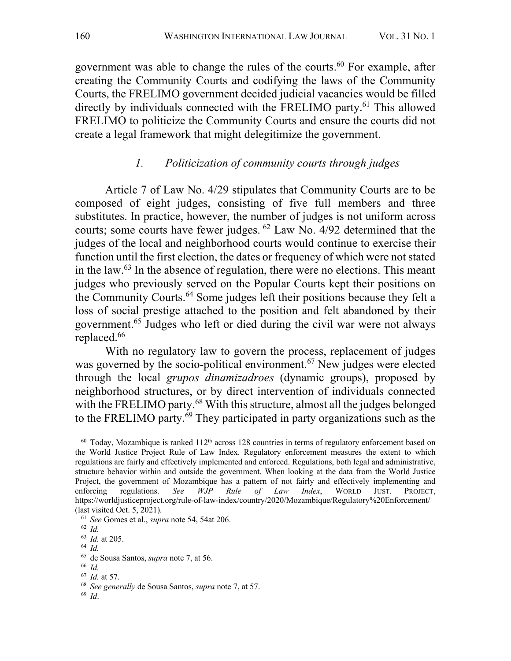government was able to change the rules of the courts.<sup>60</sup> For example, after creating the Community Courts and codifying the laws of the Community Courts, the FRELIMO government decided judicial vacancies would be filled directly by individuals connected with the FRELIMO party.<sup>61</sup> This allowed FRELIMO to politicize the Community Courts and ensure the courts did not create a legal framework that might delegitimize the government.

#### *1. Politicization of community courts through judges*

Article 7 of Law No. 4/29 stipulates that Community Courts are to be composed of eight judges, consisting of five full members and three substitutes. In practice, however, the number of judges is not uniform across courts; some courts have fewer judges. <sup>62</sup> Law No. 4/92 determined that the judges of the local and neighborhood courts would continue to exercise their function until the first election, the dates or frequency of which were not stated in the law. $^{63}$  In the absence of regulation, there were no elections. This meant judges who previously served on the Popular Courts kept their positions on the Community Courts. <sup>64</sup> Some judges left their positions because they felt a loss of social prestige attached to the position and felt abandoned by their government.65 Judges who left or died during the civil war were not always replaced.<sup>66</sup>

With no regulatory law to govern the process, replacement of judges was governed by the socio-political environment. <sup>67</sup> New judges were elected through the local *grupos dinamizadroes* (dynamic groups), proposed by neighborhood structures, or by direct intervention of individuals connected with the FRELIMO party.<sup>68</sup> With this structure, almost all the judges belonged to the FRELIMO party. <sup>69</sup> They participated in party organizations such as the

<sup>66</sup> *Id.* 

 $60$  Today, Mozambique is ranked  $112<sup>th</sup>$  across 128 countries in terms of regulatory enforcement based on the World Justice Project Rule of Law Index. Regulatory enforcement measures the extent to which regulations are fairly and effectively implemented and enforced. Regulations, both legal and administrative, structure behavior within and outside the government. When looking at the data from the World Justice Project, the government of Mozambique has a pattern of not fairly and effectively implementing and enforcing regulations. *See WJP Rule of Law Index*, WORLD JUST. PROJECT, https://worldjusticeproject.org/rule-of-law-index/country/2020/Mozambique/Regulatory%20Enforcement/ (last visited Oct. 5, 2021). 61 *See* Gomes et al., *supra* note 54, 54at 206.

<sup>62</sup> *Id.* 

<sup>63</sup> *Id.* at 205.

<sup>64</sup> *Id.* 

<sup>65</sup> de Sousa Santos, *supra* note 7, at 56.

<sup>67</sup> *Id.* at 57.

<sup>68</sup> *See generally* de Sousa Santos, *supra* note 7, at 57. 69 *Id*.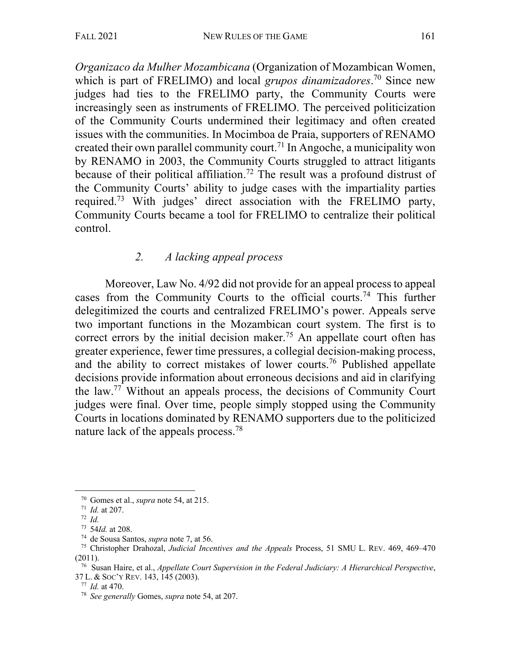*Organizaco da Mulher Mozambicana* (Organization of Mozambican Women, which is part of FRELIMO) and local *grupos dinamizadores*. <sup>70</sup> Since new judges had ties to the FRELIMO party, the Community Courts were increasingly seen as instruments of FRELIMO. The perceived politicization of the Community Courts undermined their legitimacy and often created issues with the communities. In Mocimboa de Praia, supporters of RENAMO created their own parallel community court.<sup>71</sup> In Angoche, a municipality won by RENAMO in 2003, the Community Courts struggled to attract litigants because of their political affiliation. <sup>72</sup> The result was a profound distrust of the Community Courts' ability to judge cases with the impartiality parties required.73 With judges' direct association with the FRELIMO party, Community Courts became a tool for FRELIMO to centralize their political control.

# *2. A lacking appeal process*

Moreover, Law No. 4/92 did not provide for an appeal process to appeal cases from the Community Courts to the official courts.<sup>74</sup> This further delegitimized the courts and centralized FRELIMO's power. Appeals serve two important functions in the Mozambican court system. The first is to correct errors by the initial decision maker.<sup>75</sup> An appellate court often has greater experience, fewer time pressures, a collegial decision-making process, and the ability to correct mistakes of lower courts. <sup>76</sup> Published appellate decisions provide information about erroneous decisions and aid in clarifying the law. <sup>77</sup> Without an appeals process, the decisions of Community Court judges were final. Over time, people simply stopped using the Community Courts in locations dominated by RENAMO supporters due to the politicized nature lack of the appeals process.<sup>78</sup>

<sup>70</sup> Gomes et al., *supra* note 54, at 215.

<sup>71</sup> *Id.* at 207.

<sup>72</sup> *Id.* 

<sup>73</sup> 54*Id.* at 208.

<sup>74</sup> de Sousa Santos, *supra* note 7, at 56.

<sup>75</sup> Christopher Drahozal, *Judicial Incentives and the Appeals* Process, 51 SMU L. REV. 469, 469–470 (2011).

<sup>76</sup> Susan Haire, et al., *Appellate Court Supervision in the Federal Judiciary: A Hierarchical Perspective*, 37 L. & SOC'Y REV. 143, 145 (2003).

<sup>77</sup> *Id.* at 470. 78 *See generally* Gomes, *supra* note 54, at 207.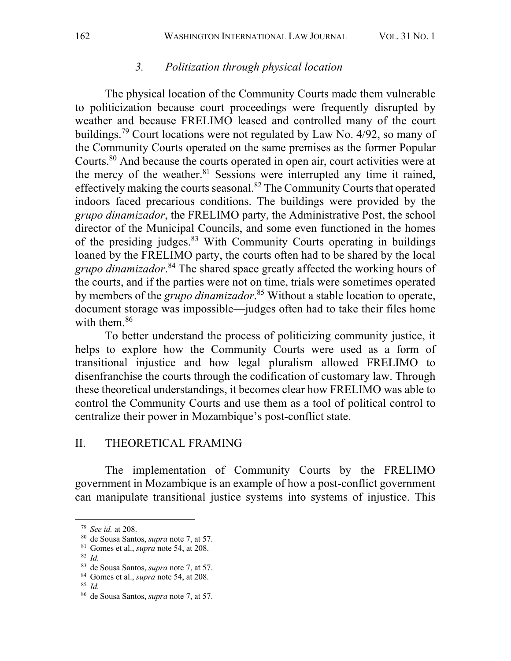#### *3. Politization through physical location*

The physical location of the Community Courts made them vulnerable to politicization because court proceedings were frequently disrupted by weather and because FRELIMO leased and controlled many of the court buildings.<sup>79</sup> Court locations were not regulated by Law No. 4/92, so many of the Community Courts operated on the same premises as the former Popular Courts.80 And because the courts operated in open air, court activities were at the mercy of the weather.<sup>81</sup> Sessions were interrupted any time it rained, effectively making the courts seasonal.82 The Community Courts that operated indoors faced precarious conditions. The buildings were provided by the *grupo dinamizador*, the FRELIMO party, the Administrative Post, the school director of the Municipal Councils, and some even functioned in the homes of the presiding judges.<sup>83</sup> With Community Courts operating in buildings loaned by the FRELIMO party, the courts often had to be shared by the local *grupo dinamizador*. <sup>84</sup> The shared space greatly affected the working hours of the courts, and if the parties were not on time, trials were sometimes operated by members of the *grupo dinamizador*. <sup>85</sup> Without a stable location to operate, document storage was impossible—judges often had to take their files home with them. $86$ 

To better understand the process of politicizing community justice, it helps to explore how the Community Courts were used as a form of transitional injustice and how legal pluralism allowed FRELIMO to disenfranchise the courts through the codification of customary law. Through these theoretical understandings, it becomes clear how FRELIMO was able to control the Community Courts and use them as a tool of political control to centralize their power in Mozambique's post-conflict state.

#### II. THEORETICAL FRAMING

The implementation of Community Courts by the FRELIMO government in Mozambique is an example of how a post-conflict government can manipulate transitional justice systems into systems of injustice. This

<sup>82</sup> *Id.* 

<sup>79</sup> *See id.* at 208.

<sup>80</sup> de Sousa Santos, *supra* note 7, at 57.

<sup>81</sup> Gomes et al., *supra* note 54, at 208.

<sup>83</sup> de Sousa Santos, *supra* note 7, at 57.

<sup>84</sup> Gomes et al., *supra* note 54, at 208.

<sup>85</sup> *Id.*

<sup>86</sup> de Sousa Santos, *supra* note 7, at 57.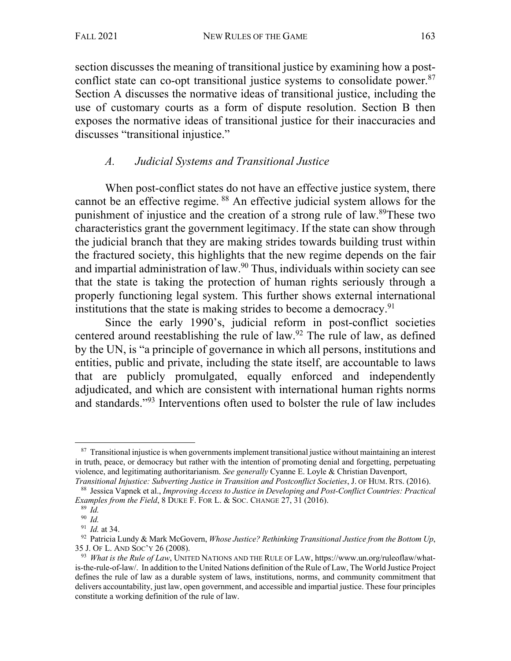section discusses the meaning of transitional justice by examining how a postconflict state can co-opt transitional justice systems to consolidate power.<sup>87</sup> Section A discusses the normative ideas of transitional justice, including the use of customary courts as a form of dispute resolution. Section B then exposes the normative ideas of transitional justice for their inaccuracies and discusses "transitional injustice."

### *A. Judicial Systems and Transitional Justice*

When post-conflict states do not have an effective justice system, there cannot be an effective regime. <sup>88</sup> An effective judicial system allows for the punishment of injustice and the creation of a strong rule of law. 89These two characteristics grant the government legitimacy. If the state can show through the judicial branch that they are making strides towards building trust within the fractured society, this highlights that the new regime depends on the fair and impartial administration of law.90 Thus, individuals within society can see that the state is taking the protection of human rights seriously through a properly functioning legal system. This further shows external international institutions that the state is making strides to become a democracy.<sup>91</sup>

Since the early 1990's, judicial reform in post-conflict societies centered around reestablishing the rule of law. $92$  The rule of law, as defined by the UN, is "a principle of governance in which all persons, institutions and entities, public and private, including the state itself, are accountable to laws that are publicly promulgated, equally enforced and independently adjudicated, and which are consistent with international human rights norms and standards."93 Interventions often used to bolster the rule of law includes

 $87$  Transitional injustice is when governments implement transitional justice without maintaining an interest in truth, peace, or democracy but rather with the intention of promoting denial and forgetting, perpetuating violence, and legitimating authoritarianism. *See generally* Cyanne E. Loyle & Christian Davenport,

*Transitional Injustice: Subverting Justice in Transition and Postconflict Societies*, J. OF HUM. RTS. (2016). <sup>88</sup> Jessica Vapnek et al., *Improving Access to Justice in Developing and Post-Conflict Countries: Practical Examples from the Field*, 8 DUKE F. FOR L. & SOC. CHANGE 27, 31 (2016).

 $89 \overrightarrow{Id}$ .

<sup>90</sup> *Id.*

<sup>91</sup> *Id.* at 34.

<sup>92</sup> Patricia Lundy & Mark McGovern, *Whose Justice? Rethinking Transitional Justice from the Bottom Up*, 35 J. OF L. AND SOC'Y 26 (2008).

<sup>93</sup> *What is the Rule of Law*, UNITED NATIONS AND THE RULE OF LAW, https://www.un.org/ruleoflaw/whatis-the-rule-of-law/. In addition to the United Nations definition of the Rule of Law, The World Justice Project defines the rule of law as a durable system of laws, institutions, norms, and community commitment that delivers accountability, just law, open government, and accessible and impartial justice. These four principles constitute a working definition of the rule of law.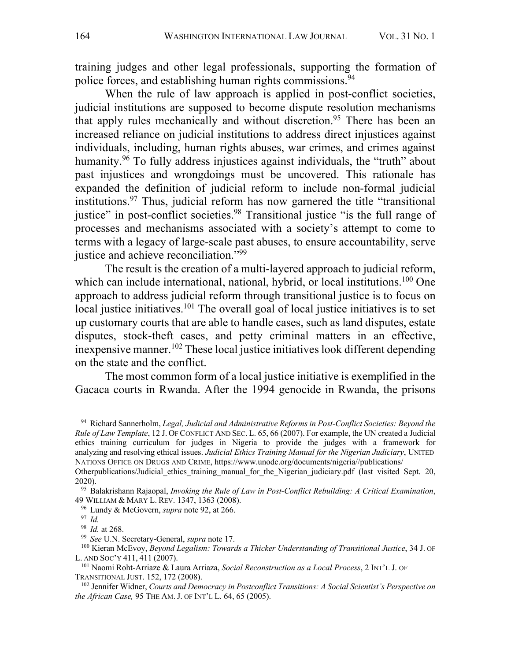training judges and other legal professionals, supporting the formation of police forces, and establishing human rights commissions.<sup>94</sup>

When the rule of law approach is applied in post-conflict societies, judicial institutions are supposed to become dispute resolution mechanisms that apply rules mechanically and without discretion.<sup>95</sup> There has been an increased reliance on judicial institutions to address direct injustices against individuals, including, human rights abuses, war crimes, and crimes against humanity.<sup>96</sup> To fully address injustices against individuals, the "truth" about past injustices and wrongdoings must be uncovered. This rationale has expanded the definition of judicial reform to include non-formal judicial institutions.97 Thus, judicial reform has now garnered the title "transitional justice" in post-conflict societies.<sup>98</sup> Transitional justice "is the full range of processes and mechanisms associated with a society's attempt to come to terms with a legacy of large-scale past abuses, to ensure accountability, serve justice and achieve reconciliation."<sup>99</sup>

The result is the creation of a multi-layered approach to judicial reform, which can include international, national, hybrid, or local institutions.<sup>100</sup> One approach to address judicial reform through transitional justice is to focus on local justice initiatives.<sup>101</sup> The overall goal of local justice initiatives is to set up customary courts that are able to handle cases, such as land disputes, estate disputes, stock-theft cases, and petty criminal matters in an effective, inexpensive manner.<sup>102</sup> These local justice initiatives look different depending on the state and the conflict.

The most common form of a local justice initiative is exemplified in the Gacaca courts in Rwanda. After the 1994 genocide in Rwanda, the prisons

<sup>94</sup> Richard Sannerholm, *Legal, Judicial and Administrative Reforms in Post-Conflict Societies: Beyond the Rule of Law Template*, 12 J. OF CONFLICT AND SEC. L. 65, 66 (2007). For example, the UN created a Judicial ethics training curriculum for judges in Nigeria to provide the judges with a framework for analyzing and resolving ethical issues. *Judicial Ethics Training Manual for the Nigerian Judiciary*, UNITED NATIONS OFFICE ON DRUGS AND CRIME, https://www.unodc.org/documents/nigeria//publications/

Otherpublications/Judicial ethics training manual for the Nigerian judiciary.pdf (last visited Sept. 20, 2020).

<sup>95</sup> Balakrishann Rajaopal, *Invoking the Rule of Law in Post-Conflict Rebuilding: A Critical Examination*, 49 WILLIAM & MARY L. REV. 1347, 1363 (2008).

<sup>96</sup> Lundy & McGovern, *supra* note 92, at 266.

<sup>97</sup> *Id.* 

<sup>98</sup> *Id.* at 268.

<sup>99</sup> *See* U.N. Secretary-General, *supra* note 17.

<sup>100</sup> Kieran McEvoy, *Beyond Legalism: Towards a Thicker Understanding of Transitional Justice*, 34 J. OF L. AND SOC'Y 411, <sup>411</sup> (2007). 101 Naomi Roht-Arriaze & Laura Arriaza, *Social Reconstruction as <sup>a</sup> Local Process*, <sup>2</sup> INT'L J. OF

TRANSITIONAL JUST. 152, 172 (2008).<br><sup>102</sup> Jennifer Widner, *Courts and Democracy in Postconflict Transitions: A Social Scientist's Perspective on* 

*the African Case,* 95 THE AM. J. OF INT'L L. 64, 65 (2005).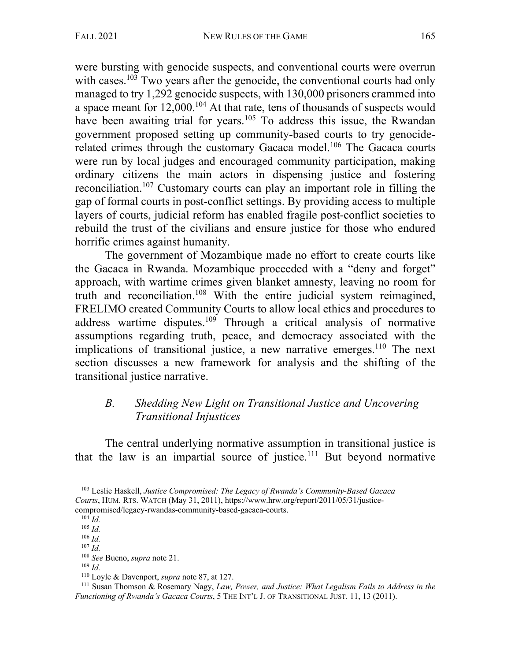were bursting with genocide suspects, and conventional courts were overrun with cases.<sup>103</sup> Two years after the genocide, the conventional courts had only managed to try 1,292 genocide suspects, with 130,000 prisoners crammed into a space meant for 12,000.<sup>104</sup> At that rate, tens of thousands of suspects would have been awaiting trial for years.<sup>105</sup> To address this issue, the Rwandan government proposed setting up community-based courts to try genociderelated crimes through the customary Gacaca model.<sup>106</sup> The Gacaca courts were run by local judges and encouraged community participation, making ordinary citizens the main actors in dispensing justice and fostering reconciliation.107 Customary courts can play an important role in filling the gap of formal courts in post-conflict settings. By providing access to multiple layers of courts, judicial reform has enabled fragile post-conflict societies to rebuild the trust of the civilians and ensure justice for those who endured horrific crimes against humanity.

The government of Mozambique made no effort to create courts like the Gacaca in Rwanda. Mozambique proceeded with a "deny and forget" approach, with wartime crimes given blanket amnesty, leaving no room for truth and reconciliation.108 With the entire judicial system reimagined, FRELIMO created Community Courts to allow local ethics and procedures to address wartime disputes.<sup>109</sup> Through a critical analysis of normative assumptions regarding truth, peace, and democracy associated with the implications of transitional justice, a new narrative emerges.<sup>110</sup> The next section discusses a new framework for analysis and the shifting of the transitional justice narrative.

### *B. Shedding New Light on Transitional Justice and Uncovering Transitional Injustices*

The central underlying normative assumption in transitional justice is that the law is an impartial source of justice.<sup>111</sup> But beyond normative

<sup>103</sup> Leslie Haskell, *Justice Compromised: The Legacy of Rwanda's Community-Based Gacaca Courts*, HUM. RTS. WATCH (May 31, 2011), https://www.hrw.org/report/2011/05/31/justice-

compromised/legacy-rwandas-community-based-gacaca-courts. 104 *Id.*

<sup>105</sup> *Id.*

<sup>106</sup> *Id.* <sup>107</sup> *Id.*

<sup>108</sup> *See* Bueno, *supra* note 21.

<sup>109</sup> *Id.*

<sup>110</sup> Loyle & Davenport, *supra* note 87, at 127.

<sup>111</sup> Susan Thomson & Rosemary Nagy, *Law, Power, and Justice: What Legalism Fails to Address in the Functioning of Rwanda's Gacaca Courts*, 5 THE INT'L J. OF TRANSITIONAL JUST. 11, 13 (2011).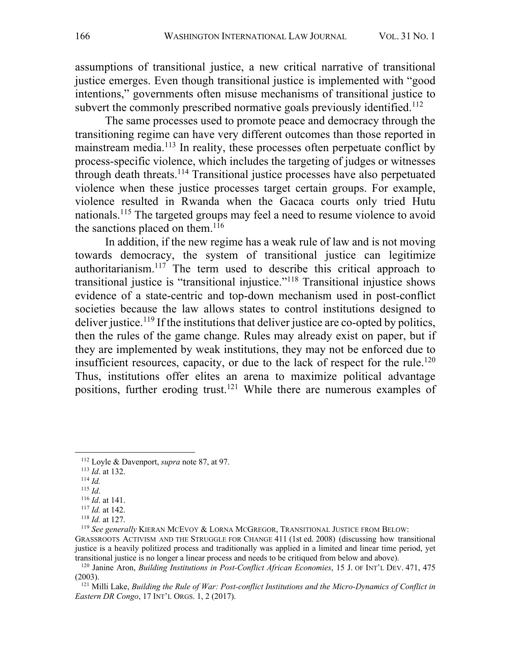assumptions of transitional justice, a new critical narrative of transitional justice emerges. Even though transitional justice is implemented with "good intentions," governments often misuse mechanisms of transitional justice to subvert the commonly prescribed normative goals previously identified.<sup>112</sup>

The same processes used to promote peace and democracy through the transitioning regime can have very different outcomes than those reported in mainstream media.<sup>113</sup> In reality, these processes often perpetuate conflict by process-specific violence, which includes the targeting of judges or witnesses through death threats.<sup>114</sup> Transitional justice processes have also perpetuated violence when these justice processes target certain groups. For example, violence resulted in Rwanda when the Gacaca courts only tried Hutu nationals.<sup>115</sup> The targeted groups may feel a need to resume violence to avoid the sanctions placed on them. $116$ 

In addition, if the new regime has a weak rule of law and is not moving towards democracy, the system of transitional justice can legitimize authoritarianism.117 The term used to describe this critical approach to transitional justice is "transitional injustice."118 Transitional injustice shows evidence of a state-centric and top-down mechanism used in post-conflict societies because the law allows states to control institutions designed to deliver justice.<sup>119</sup> If the institutions that deliver justice are co-opted by politics, then the rules of the game change. Rules may already exist on paper, but if they are implemented by weak institutions, they may not be enforced due to insufficient resources, capacity, or due to the lack of respect for the rule.<sup>120</sup> Thus, institutions offer elites an arena to maximize political advantage positions, further eroding trust.<sup>121</sup> While there are numerous examples of

- $\frac{114}{115}$  *Id.*
- 

<sup>112</sup> Loyle & Davenport, *supra* note 87, at 97. 113 *Id*. at 132.

<sup>115</sup> *Id*. 116 *Id*. at 141. 117 *Id.* at 142. 118 *Id.* at 127.

<sup>119</sup> *See generally* KIERAN MCEVOY & LORNA MCGREGOR, TRANSITIONAL JUSTICE FROM BELOW:

GRASSROOTS ACTIVISM AND THE STRUGGLE FOR CHANGE 411 (1st ed. 2008) (discussing how transitional justice is a heavily politized process and traditionally was applied in a limited and linear time period, yet transitional justice is no longer a linear process and needs to be critiqued from below and above).

<sup>120</sup> Janine Aron, *Building Institutions in Post-Conflict African Economies*, 15 J. OF INT'L DEV. 471, 475 (2003).

<sup>121</sup> Milli Lake, *Building the Rule of War: Post-conflict Institutions and the Micro-Dynamics of Conflict in Eastern DR Congo*, 17 INT'L ORGS. 1, 2 (2017).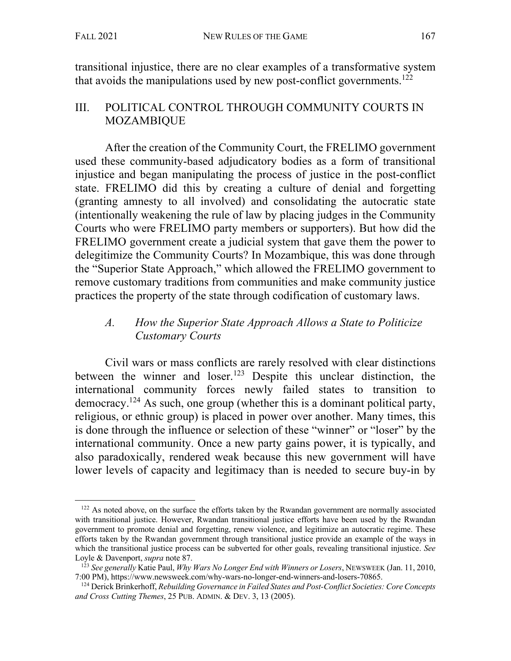transitional injustice, there are no clear examples of a transformative system that avoids the manipulations used by new post-conflict governments.<sup>122</sup>

### III. POLITICAL CONTROL THROUGH COMMUNITY COURTS IN MOZAMBIQUE

After the creation of the Community Court, the FRELIMO government used these community-based adjudicatory bodies as a form of transitional injustice and began manipulating the process of justice in the post-conflict state. FRELIMO did this by creating a culture of denial and forgetting (granting amnesty to all involved) and consolidating the autocratic state (intentionally weakening the rule of law by placing judges in the Community Courts who were FRELIMO party members or supporters). But how did the FRELIMO government create a judicial system that gave them the power to delegitimize the Community Courts? In Mozambique, this was done through the "Superior State Approach," which allowed the FRELIMO government to remove customary traditions from communities and make community justice practices the property of the state through codification of customary laws.

# *A. How the Superior State Approach Allows a State to Politicize Customary Courts*

Civil wars or mass conflicts are rarely resolved with clear distinctions between the winner and loser.<sup>123</sup> Despite this unclear distinction, the international community forces newly failed states to transition to democracy.<sup>124</sup> As such, one group (whether this is a dominant political party, religious, or ethnic group) is placed in power over another. Many times, this is done through the influence or selection of these "winner" or "loser" by the international community. Once a new party gains power, it is typically, and also paradoxically, rendered weak because this new government will have lower levels of capacity and legitimacy than is needed to secure buy-in by

<sup>&</sup>lt;sup>122</sup> As noted above, on the surface the efforts taken by the Rwandan government are normally associated with transitional justice. However, Rwandan transitional justice efforts have been used by the Rwandan government to promote denial and forgetting, renew violence, and legitimize an autocratic regime. These efforts taken by the Rwandan government through transitional justice provide an example of the ways in which the transitional justice process can be subverted for other goals, revealing transitional injustice. *See*  Loyle & Davenport, *supra* note 87.

<sup>123</sup> *See generally* Katie Paul, *Why Wars No Longer End with Winners or Losers*, NEWSWEEK (Jan. 11, 2010, 7:00 PM), https://www.newsweek.com/why-wars-no-longer-end-winners-and-losers-70865.

<sup>124</sup> Derick Brinkerhoff, *Rebuilding Governance in Failed States and Post-Conflict Societies: Core Concepts and Cross Cutting Themes*, 25 PUB. ADMIN. & DEV. 3, 13 (2005).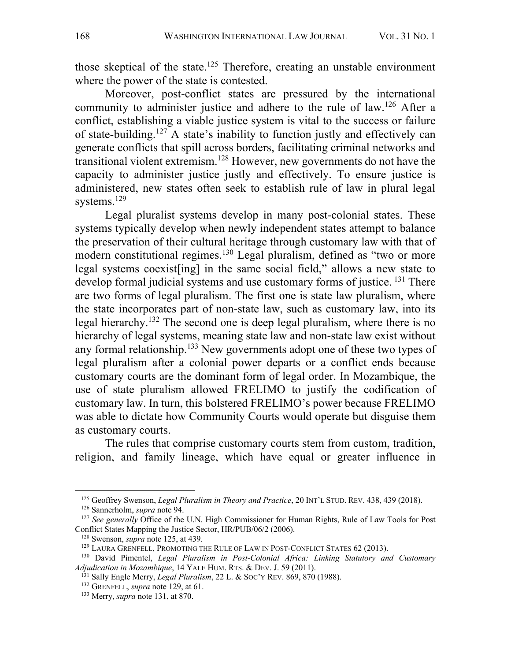those skeptical of the state.<sup>125</sup> Therefore, creating an unstable environment where the power of the state is contested.

Moreover, post-conflict states are pressured by the international community to administer justice and adhere to the rule of law.126 After a conflict, establishing a viable justice system is vital to the success or failure of state-building. <sup>127</sup> A state's inability to function justly and effectively can generate conflicts that spill across borders, facilitating criminal networks and transitional violent extremism.128 However, new governments do not have the capacity to administer justice justly and effectively. To ensure justice is administered, new states often seek to establish rule of law in plural legal systems. 129

Legal pluralist systems develop in many post-colonial states. These systems typically develop when newly independent states attempt to balance the preservation of their cultural heritage through customary law with that of modern constitutional regimes.<sup>130</sup> Legal pluralism, defined as "two or more legal systems coexist[ing] in the same social field," allows a new state to develop formal judicial systems and use customary forms of justice. <sup>131</sup> There are two forms of legal pluralism. The first one is state law pluralism, where the state incorporates part of non-state law, such as customary law, into its legal hierarchy.132 The second one is deep legal pluralism, where there is no hierarchy of legal systems, meaning state law and non-state law exist without any formal relationship.<sup>133</sup> New governments adopt one of these two types of legal pluralism after a colonial power departs or a conflict ends because customary courts are the dominant form of legal order. In Mozambique, the use of state pluralism allowed FRELIMO to justify the codification of customary law. In turn, this bolstered FRELIMO's power because FRELIMO was able to dictate how Community Courts would operate but disguise them as customary courts.

The rules that comprise customary courts stem from custom, tradition, religion, and family lineage, which have equal or greater influence in

<sup>125</sup> Geoffrey Swenson, *Legal Pluralism in Theory and Practice*, 20 INT'L STUD. REV. 438, 439 (2018). 126 Sannerholm, *supra* note 94.

<sup>&</sup>lt;sup>127</sup> See generally Office of the U.N. High Commissioner for Human Rights, Rule of Law Tools for Post Conflict States Mapping the Justice Sector, HR/PUB/06/2 (2006).

<sup>128</sup> Swenson, *supra* note 125, at 439.

<sup>&</sup>lt;sup>129</sup> LAURA GRENFELL, PROMOTING THE RULE OF LAW IN POST-CONFLICT STATES 62 (2013).

<sup>&</sup>lt;sup>130</sup> David Pimentel, *Legal Pluralism in Post-Colonial Africa: Linking Statutory and Customary Adjudication in Mozambique, 14 YALE HUM. RTS. & DEV. J. 59 (2011).* 

<sup>&</sup>lt;sup>131</sup> Sally Engle Merry, *Legal Pluralism*, 22 L. & Soc'Y REV. 869, 870 (1988).<br><sup>132</sup> GRENFELL, *supra* note 129, at 61.<br><sup>133</sup> Merry, *supra* note 131, at 870.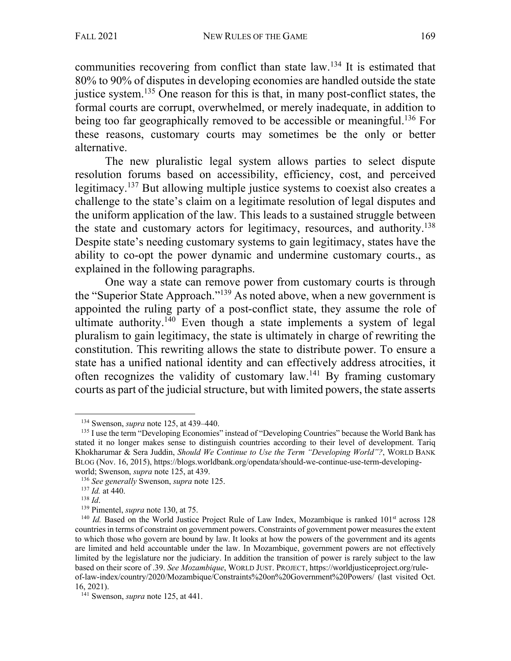communities recovering from conflict than state law.134 It is estimated that 80% to 90% of disputes in developing economies are handled outside the state justice system.<sup>135</sup> One reason for this is that, in many post-conflict states, the formal courts are corrupt, overwhelmed, or merely inadequate, in addition to being too far geographically removed to be accessible or meaningful.<sup>136</sup> For these reasons, customary courts may sometimes be the only or better alternative.

The new pluralistic legal system allows parties to select dispute resolution forums based on accessibility, efficiency, cost, and perceived legitimacy.137 But allowing multiple justice systems to coexist also creates a challenge to the state's claim on a legitimate resolution of legal disputes and the uniform application of the law. This leads to a sustained struggle between the state and customary actors for legitimacy, resources, and authority.<sup>138</sup> Despite state's needing customary systems to gain legitimacy, states have the ability to co-opt the power dynamic and undermine customary courts., as explained in the following paragraphs.

One way a state can remove power from customary courts is through the "Superior State Approach."139 As noted above, when a new government is appointed the ruling party of a post-conflict state, they assume the role of ultimate authority.<sup>140</sup> Even though a state implements a system of legal pluralism to gain legitimacy, the state is ultimately in charge of rewriting the constitution. This rewriting allows the state to distribute power. To ensure a state has a unified national identity and can effectively address atrocities, it often recognizes the validity of customary law.<sup>141</sup> By framing customary courts as part of the judicial structure, but with limited powers, the state asserts

<sup>&</sup>lt;sup>134</sup> Swenson, *supra* note 125, at 439–440.<br><sup>135</sup> I use the term "Developing Economies" instead of "Developing Countries" because the World Bank has stated it no longer makes sense to distinguish countries according to their level of development. Tariq Khokharumar & Sera Juddin, *Should We Continue to Use the Term "Developing World"?*, WORLD BANK BLOG (Nov. 16, 2015), https://blogs.worldbank.org/opendata/should-we-continue-use-term-developing-

world; Swenson, *supra* note 125, at 439.<br>
<sup>136</sup> *See generally* Swenson, *supra* note 125.<br>
<sup>137</sup> *Id.* at 440.<br>
<sup>138</sup> *Id.*<br>
<sup>139</sup> Pimentel, *supra* note 130, at 75.<br>
<sup>140</sup> *Id.* Based on the World Justice Project Rule countries in terms of constraint on government powers. Constraints of government power measures the extent to which those who govern are bound by law. It looks at how the powers of the government and its agents are limited and held accountable under the law. In Mozambique, government powers are not effectively limited by the legislature nor the judiciary. In addition the transition of power is rarely subject to the law based on their score of .39. *See Mozambique*, WORLD JUST. PROJECT, https://worldjusticeproject.org/ruleof-law-index/country/2020/Mozambique/Constraints%20on%20Government%20Powers/ (last visited Oct. 16, 2021).

<sup>141</sup> Swenson, *supra* note 125, at 441.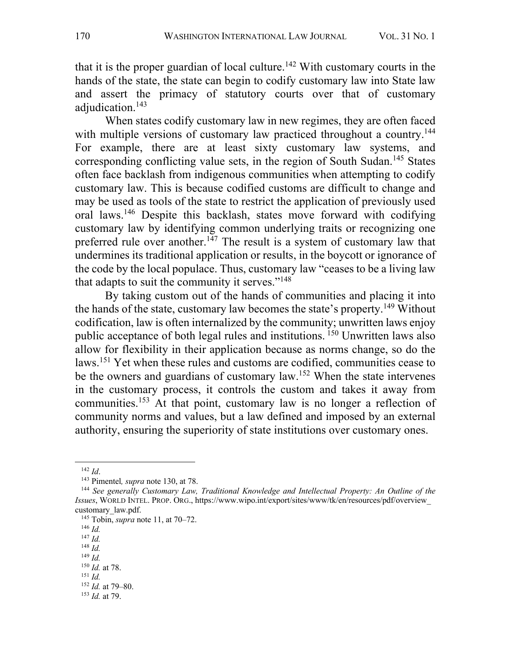that it is the proper guardian of local culture.<sup>142</sup> With customary courts in the hands of the state, the state can begin to codify customary law into State law and assert the primacy of statutory courts over that of customary adjudication.<sup>143</sup>

When states codify customary law in new regimes, they are often faced with multiple versions of customary law practiced throughout a country.<sup>144</sup> For example, there are at least sixty customary law systems, and corresponding conflicting value sets, in the region of South Sudan.145 States often face backlash from indigenous communities when attempting to codify customary law. This is because codified customs are difficult to change and may be used as tools of the state to restrict the application of previously used oral laws.<sup>146</sup> Despite this backlash, states move forward with codifying customary law by identifying common underlying traits or recognizing one preferred rule over another.<sup>147</sup> The result is a system of customary law that undermines its traditional application or results, in the boycott or ignorance of the code by the local populace. Thus, customary law "ceases to be a living law that adapts to suit the community it serves."<sup>148</sup>

By taking custom out of the hands of communities and placing it into the hands of the state, customary law becomes the state's property.<sup>149</sup> Without codification, law is often internalized by the community; unwritten laws enjoy public acceptance of both legal rules and institutions. <sup>150</sup> Unwritten laws also allow for flexibility in their application because as norms change, so do the laws. <sup>151</sup> Yet when these rules and customs are codified, communities cease to be the owners and guardians of customary law.<sup>152</sup> When the state intervenes in the customary process, it controls the custom and takes it away from communities.<sup>153</sup> At that point, customary law is no longer a reflection of community norms and values, but a law defined and imposed by an external authority, ensuring the superiority of state institutions over customary ones.

<sup>148</sup> *Id.*

<sup>142</sup> *Id*.

<sup>143</sup> Pimentel*, supra* note 130, at 78.

<sup>144</sup> *See generally Customary Law, Traditional Knowledge and Intellectual Property: An Outline of the Issues*, WORLD INTEL. PROP. ORG., https://www.wipo.int/export/sites/www/tk/en/resources/pdf/overview\_ customary\_law.pdf.

<sup>145</sup> Tobin, *supra* note 11, at 70–72. 146 *Id.*

<sup>147</sup> *Id.*

<sup>149</sup> *Id.*

<sup>150</sup> *Id.* at 78.

 $^{151}$  *Id*.

<sup>152</sup> *Id.* at 79–80.

<sup>153</sup> *Id.* at 79.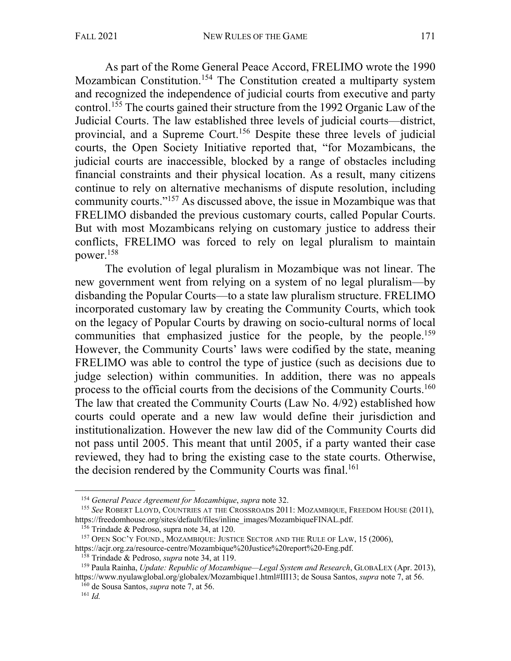As part of the Rome General Peace Accord, FRELIMO wrote the 1990 Mozambican Constitution.<sup>154</sup> The Constitution created a multiparty system and recognized the independence of judicial courts from executive and party control.155 The courts gained their structure from the 1992 Organic Law of the Judicial Courts. The law established three levels of judicial courts—district, provincial, and a Supreme Court.156 Despite these three levels of judicial courts, the Open Society Initiative reported that, "for Mozambicans, the judicial courts are inaccessible, blocked by a range of obstacles including financial constraints and their physical location. As a result, many citizens continue to rely on alternative mechanisms of dispute resolution, including community courts."157 As discussed above, the issue in Mozambique was that FRELIMO disbanded the previous customary courts, called Popular Courts. But with most Mozambicans relying on customary justice to address their conflicts, FRELIMO was forced to rely on legal pluralism to maintain power.158

The evolution of legal pluralism in Mozambique was not linear. The new government went from relying on a system of no legal pluralism—by disbanding the Popular Courts—to a state law pluralism structure. FRELIMO incorporated customary law by creating the Community Courts, which took on the legacy of Popular Courts by drawing on socio-cultural norms of local communities that emphasized justice for the people, by the people.<sup>159</sup> However, the Community Courts' laws were codified by the state, meaning FRELIMO was able to control the type of justice (such as decisions due to judge selection) within communities. In addition, there was no appeals process to the official courts from the decisions of the Community Courts.160 The law that created the Community Courts (Law No. 4/92) established how courts could operate and a new law would define their jurisdiction and institutionalization. However the new law did of the Community Courts did not pass until 2005. This meant that until 2005, if a party wanted their case reviewed, they had to bring the existing case to the state courts. Otherwise, the decision rendered by the Community Courts was final.<sup>161</sup>

<sup>154</sup> *General Peace Agreement for Mozambique*, *supra* note 32.

<sup>&</sup>lt;sup>155</sup> See ROBERT LLOYD, COUNTRIES AT THE CROSSROADS 2011: MOZAMBIQUE, FREEDOM HOUSE (2011), https://freedomhouse.org/sites/default/files/inline images/MozambiqueFINAL.pdf.

<sup>&</sup>lt;sup>156</sup> Trindade & Pedroso, supra note 34, at 120.<br><sup>157</sup> OPEN SOC'Y FOUND., MOZAMBIQUE: JUSTICE SECTOR AND THE RULE OF LAW, 15 (2006), https://acir.org.za/resource-centre/Mozambique%20Justice%20report%20-Eng.pdf.

<sup>&</sup>lt;sup>158</sup> Trindade & Pedroso, *supra* note 34, at 119.<br><sup>159</sup> Paula Rainha, *Update: Republic of Mozambique—Legal System and Research*, GLOBALEX (Apr. 2013), https://www.nyulawglobal.org/globalex/Mozambique1.html#III13; de Sousa Santos, *supra* note 7, at 56. <sup>160</sup> de Sousa Santos, *supra* note 7, at 56.

<sup>161</sup> *Id.*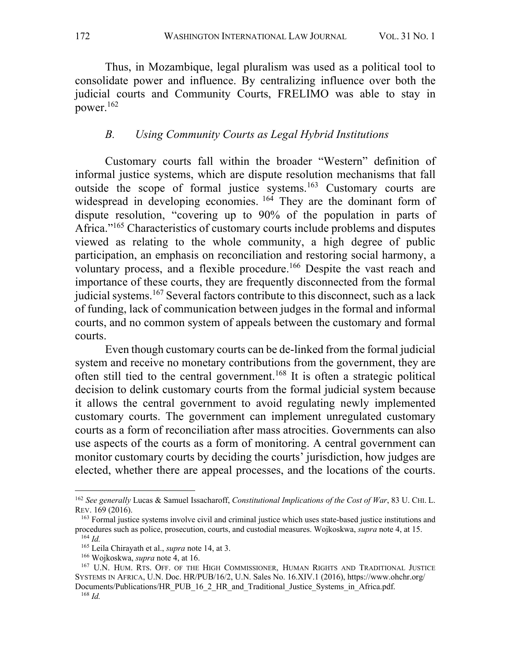Thus, in Mozambique, legal pluralism was used as a political tool to consolidate power and influence. By centralizing influence over both the judicial courts and Community Courts, FRELIMO was able to stay in power.162

#### *B. Using Community Courts as Legal Hybrid Institutions*

Customary courts fall within the broader "Western" definition of informal justice systems, which are dispute resolution mechanisms that fall outside the scope of formal justice systems.163 Customary courts are widespread in developing economies. <sup>164</sup> They are the dominant form of dispute resolution, "covering up to 90% of the population in parts of Africa."<sup>165</sup> Characteristics of customary courts include problems and disputes viewed as relating to the whole community, a high degree of public participation, an emphasis on reconciliation and restoring social harmony, a voluntary process, and a flexible procedure. <sup>166</sup> Despite the vast reach and importance of these courts, they are frequently disconnected from the formal judicial systems.<sup>167</sup> Several factors contribute to this disconnect, such as a lack of funding, lack of communication between judges in the formal and informal courts, and no common system of appeals between the customary and formal courts.

Even though customary courts can be de-linked from the formal judicial system and receive no monetary contributions from the government, they are often still tied to the central government.168 It is often a strategic political decision to delink customary courts from the formal judicial system because it allows the central government to avoid regulating newly implemented customary courts. The government can implement unregulated customary courts as a form of reconciliation after mass atrocities. Governments can also use aspects of the courts as a form of monitoring. A central government can monitor customary courts by deciding the courts' jurisdiction, how judges are elected, whether there are appeal processes, and the locations of the courts.

<sup>162</sup> *See generally* Lucas & Samuel Issacharoff, *Constitutional Implications of the Cost of War*, 83 U. CHI. L. REV. 169 (2016).

<sup>163</sup> Formal justice systems involve civil and criminal justice which uses state-based justice institutions and procedures such as police, prosecution, courts, and custodial measures. Wojkoskwa, *supra* note 4, at 15.  $^{164}$  *Id*.

<sup>165</sup> Leila Chirayath et al., *supra* note 14, at 3.

<sup>166</sup> Wojkoskwa, *supra* note 4, at 16.

<sup>167</sup> U.N. HUM. RTS. OFF. OF THE HIGH COMMISSIONER, HUMAN RIGHTS AND TRADITIONAL JUSTICE SYSTEMS IN AFRICA, U.N. Doc. HR/PUB/16/2, U.N. Sales No. 16.XIV.1 (2016), https://www.ohchr.org/

Documents/Publications/HR\_PUB\_16\_2\_HR\_and\_Traditional\_Justice\_Systems\_in\_Africa.pdf. <sup>168</sup> *Id.*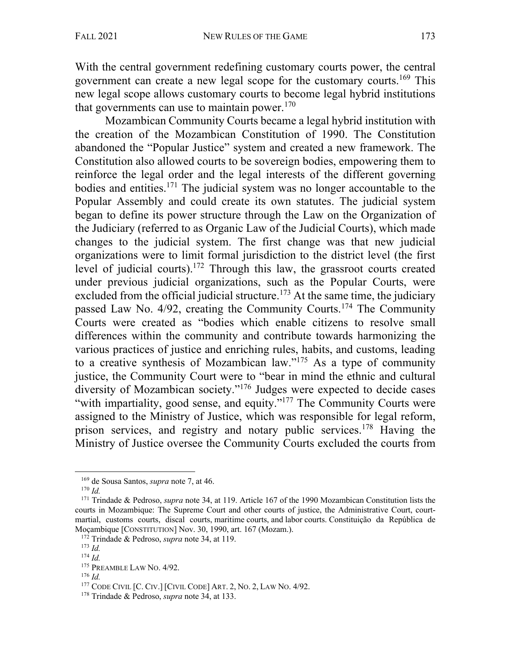With the central government redefining customary courts power, the central government can create a new legal scope for the customary courts.169 This new legal scope allows customary courts to become legal hybrid institutions that governments can use to maintain power. $170$ 

Mozambican Community Courts became a legal hybrid institution with the creation of the Mozambican Constitution of 1990. The Constitution abandoned the "Popular Justice" system and created a new framework. The Constitution also allowed courts to be sovereign bodies, empowering them to reinforce the legal order and the legal interests of the different governing bodies and entities.171 The judicial system was no longer accountable to the Popular Assembly and could create its own statutes. The judicial system began to define its power structure through the Law on the Organization of the Judiciary (referred to as Organic Law of the Judicial Courts), which made changes to the judicial system. The first change was that new judicial organizations were to limit formal jurisdiction to the district level (the first level of judicial courts).<sup>172</sup> Through this law, the grassroot courts created under previous judicial organizations, such as the Popular Courts, were excluded from the official judicial structure.<sup>173</sup> At the same time, the judiciary passed Law No. 4/92, creating the Community Courts.<sup>174</sup> The Community Courts were created as "bodies which enable citizens to resolve small differences within the community and contribute towards harmonizing the various practices of justice and enriching rules, habits, and customs, leading to a creative synthesis of Mozambican law."175 As a type of community justice, the Community Court were to "bear in mind the ethnic and cultural diversity of Mozambican society."176 Judges were expected to decide cases "with impartiality, good sense, and equity."<sup>177</sup> The Community Courts were assigned to the Ministry of Justice, which was responsible for legal reform, prison services, and registry and notary public services.<sup>178</sup> Having the Ministry of Justice oversee the Community Courts excluded the courts from

<sup>169</sup> de Sousa Santos, *supra* note 7, at 46. 170 *Id.* 

<sup>171</sup> Trindade & Pedroso, *supra* note 34, at 119. Article 167 of the 1990 Mozambican Constitution lists the courts in Mozambique: The Supreme Court and other courts of justice, the Administrative Court, courtmartial, customs courts, discal courts, maritime courts, and labor courts. Constituição da República de Moçambique [CONSTITUTION] Nov. 30, 1990, art. 167 (Mozam.).

<sup>172</sup> Trindade & Pedroso, *supra* note 34, at 119. 173 *Id.* 

<sup>174</sup> *Id.*

<sup>175</sup> PREAMBLE LAW NO. 4/92.

<sup>176</sup> *Id.*

<sup>177</sup> CODE CIVIL [C. CIV.] [CIVIL CODE] ART. 2, NO. 2, LAW NO. 4/92.

<sup>178</sup> Trindade & Pedroso, *supra* note 34, at 133.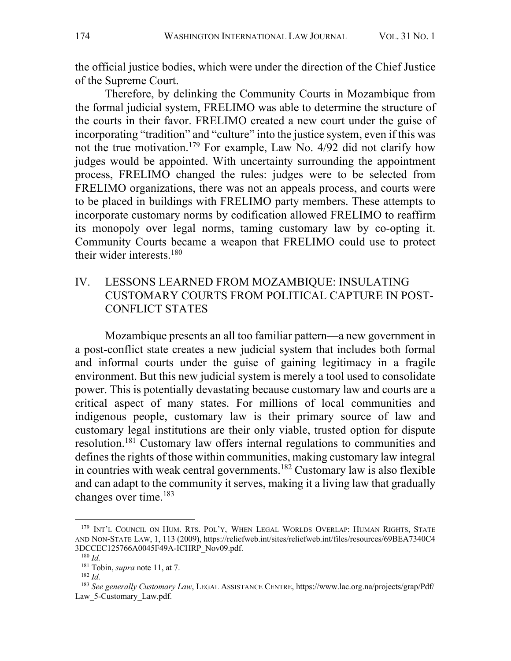the official justice bodies, which were under the direction of the Chief Justice of the Supreme Court.

Therefore, by delinking the Community Courts in Mozambique from the formal judicial system, FRELIMO was able to determine the structure of the courts in their favor. FRELIMO created a new court under the guise of incorporating "tradition" and "culture" into the justice system, even if this was not the true motivation.<sup>179</sup> For example, Law No.  $4/92$  did not clarify how judges would be appointed. With uncertainty surrounding the appointment process, FRELIMO changed the rules: judges were to be selected from FRELIMO organizations, there was not an appeals process, and courts were to be placed in buildings with FRELIMO party members. These attempts to incorporate customary norms by codification allowed FRELIMO to reaffirm its monopoly over legal norms, taming customary law by co-opting it. Community Courts became a weapon that FRELIMO could use to protect their wider interests. $180$ 

### IV. LESSONS LEARNED FROM MOZAMBIQUE: INSULATING CUSTOMARY COURTS FROM POLITICAL CAPTURE IN POST-CONFLICT STATES

Mozambique presents an all too familiar pattern—a new government in a post-conflict state creates a new judicial system that includes both formal and informal courts under the guise of gaining legitimacy in a fragile environment. But this new judicial system is merely a tool used to consolidate power. This is potentially devastating because customary law and courts are a critical aspect of many states. For millions of local communities and indigenous people, customary law is their primary source of law and customary legal institutions are their only viable, trusted option for dispute resolution.<sup>181</sup> Customary law offers internal regulations to communities and defines the rights of those within communities, making customary law integral in countries with weak central governments. <sup>182</sup> Customary law is also flexible and can adapt to the community it serves, making it a living law that gradually changes over time.183

<sup>179</sup> INT'L COUNCIL ON HUM. RTS. POL'Y, WHEN LEGAL WORLDS OVERLAP: HUMAN RIGHTS, STATE AND NON-STATE LAW, 1, 113 (2009), https://reliefweb.int/sites/reliefweb.int/files/resources/69BEA7340C4 3DCCEC125766A0045F49A-ICHRP\_Nov09.pdf.

 $180$  *Id.* 

<sup>181</sup> Tobin, *supra* note 11, at 7.

<sup>182</sup> *Id.*

<sup>183</sup> *See generally Customary Law*, LEGAL ASSISTANCE CENTRE, https://www.lac.org.na/projects/grap/Pdf/ Law 5-Customary\_Law.pdf.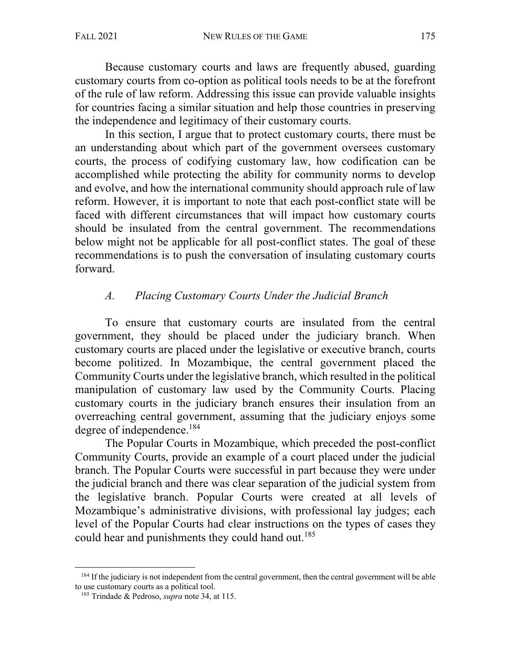Because customary courts and laws are frequently abused, guarding customary courts from co-option as political tools needs to be at the forefront of the rule of law reform. Addressing this issue can provide valuable insights for countries facing a similar situation and help those countries in preserving the independence and legitimacy of their customary courts.

In this section, I argue that to protect customary courts, there must be an understanding about which part of the government oversees customary courts, the process of codifying customary law, how codification can be accomplished while protecting the ability for community norms to develop and evolve, and how the international community should approach rule of law reform. However, it is important to note that each post-conflict state will be faced with different circumstances that will impact how customary courts should be insulated from the central government. The recommendations below might not be applicable for all post-conflict states. The goal of these recommendations is to push the conversation of insulating customary courts forward.

### *A. Placing Customary Courts Under the Judicial Branch*

To ensure that customary courts are insulated from the central government, they should be placed under the judiciary branch. When customary courts are placed under the legislative or executive branch, courts become politized. In Mozambique, the central government placed the Community Courts under the legislative branch, which resulted in the political manipulation of customary law used by the Community Courts. Placing customary courts in the judiciary branch ensures their insulation from an overreaching central government, assuming that the judiciary enjoys some degree of independence.<sup>184</sup>

The Popular Courts in Mozambique, which preceded the post-conflict Community Courts, provide an example of a court placed under the judicial branch. The Popular Courts were successful in part because they were under the judicial branch and there was clear separation of the judicial system from the legislative branch. Popular Courts were created at all levels of Mozambique's administrative divisions, with professional lay judges; each level of the Popular Courts had clear instructions on the types of cases they could hear and punishments they could hand out.<sup>185</sup>

<sup>&</sup>lt;sup>184</sup> If the judiciary is not independent from the central government, then the central government will be able to use customary courts as a political tool.

<sup>185</sup> Trindade & Pedroso, *supra* note 34, at 115.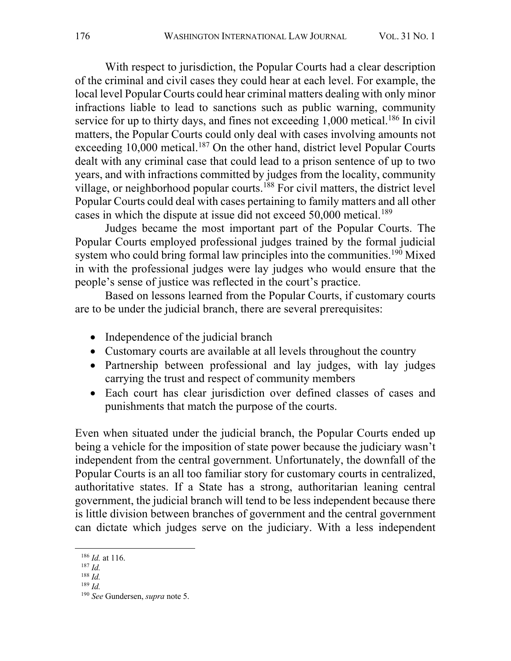With respect to jurisdiction, the Popular Courts had a clear description of the criminal and civil cases they could hear at each level. For example, the local level Popular Courts could hear criminal matters dealing with only minor infractions liable to lead to sanctions such as public warning, community service for up to thirty days, and fines not exceeding 1,000 metical.<sup>186</sup> In civil matters, the Popular Courts could only deal with cases involving amounts not exceeding  $10,000$  metical.<sup>187</sup> On the other hand, district level Popular Courts dealt with any criminal case that could lead to a prison sentence of up to two years, and with infractions committed by judges from the locality, community village, or neighborhood popular courts.<sup>188</sup> For civil matters, the district level Popular Courts could deal with cases pertaining to family matters and all other cases in which the dispute at issue did not exceed 50,000 metical.<sup>189</sup>

Judges became the most important part of the Popular Courts. The Popular Courts employed professional judges trained by the formal judicial system who could bring formal law principles into the communities.<sup>190</sup> Mixed in with the professional judges were lay judges who would ensure that the people's sense of justice was reflected in the court's practice.

Based on lessons learned from the Popular Courts, if customary courts are to be under the judicial branch, there are several prerequisites:

- Independence of the judicial branch
- Customary courts are available at all levels throughout the country
- Partnership between professional and lay judges, with lay judges carrying the trust and respect of community members
- Each court has clear jurisdiction over defined classes of cases and punishments that match the purpose of the courts.

Even when situated under the judicial branch, the Popular Courts ended up being a vehicle for the imposition of state power because the judiciary wasn't independent from the central government. Unfortunately, the downfall of the Popular Courts is an all too familiar story for customary courts in centralized, authoritative states. If a State has a strong, authoritarian leaning central government, the judicial branch will tend to be less independent because there is little division between branches of government and the central government can dictate which judges serve on the judiciary. With a less independent

<sup>186</sup> *Id.* at 116.

<sup>187</sup> *Id.*

<sup>188</sup> *Id.*

<sup>189</sup> *Id.*

<sup>190</sup> *See* Gundersen, *supra* note 5.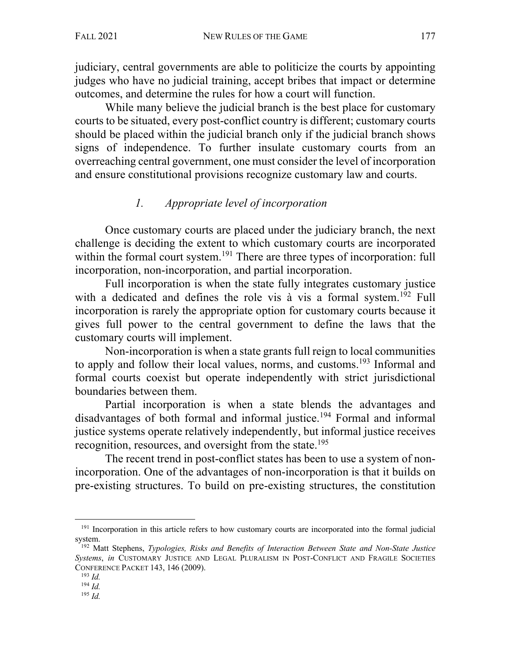judiciary, central governments are able to politicize the courts by appointing judges who have no judicial training, accept bribes that impact or determine outcomes, and determine the rules for how a court will function.

While many believe the judicial branch is the best place for customary courts to be situated, every post-conflict country is different; customary courts should be placed within the judicial branch only if the judicial branch shows signs of independence. To further insulate customary courts from an overreaching central government, one must consider the level of incorporation and ensure constitutional provisions recognize customary law and courts.

### *1. Appropriate level of incorporation*

Once customary courts are placed under the judiciary branch, the next challenge is deciding the extent to which customary courts are incorporated within the formal court system.<sup>191</sup> There are three types of incorporation: full incorporation, non-incorporation, and partial incorporation.

Full incorporation is when the state fully integrates customary justice with a dedicated and defines the role vis à vis a formal system.<sup>192</sup> Full incorporation is rarely the appropriate option for customary courts because it gives full power to the central government to define the laws that the customary courts will implement.

Non-incorporation is when a state grants full reign to local communities to apply and follow their local values, norms, and customs.<sup>193</sup> Informal and formal courts coexist but operate independently with strict jurisdictional boundaries between them.

Partial incorporation is when a state blends the advantages and disadvantages of both formal and informal justice.194 Formal and informal justice systems operate relatively independently, but informal justice receives recognition, resources, and oversight from the state.<sup>195</sup>

The recent trend in post-conflict states has been to use a system of nonincorporation. One of the advantages of non-incorporation is that it builds on pre-existing structures. To build on pre-existing structures, the constitution

<sup>&</sup>lt;sup>191</sup> Incorporation in this article refers to how customary courts are incorporated into the formal judicial system.

<sup>192</sup> Matt Stephens, *Typologies, Risks and Benefits of Interaction Between State and Non-State Justice Systems*, *in* CUSTOMARY JUSTICE AND LEGAL PLURALISM IN POST-CONFLICT AND FRAGILE SOCIETIES CONFERENCE PACKET 143, 146 (2009).

<sup>193</sup> *Id.*

<sup>194</sup> *Id.*

<sup>195</sup> *Id.*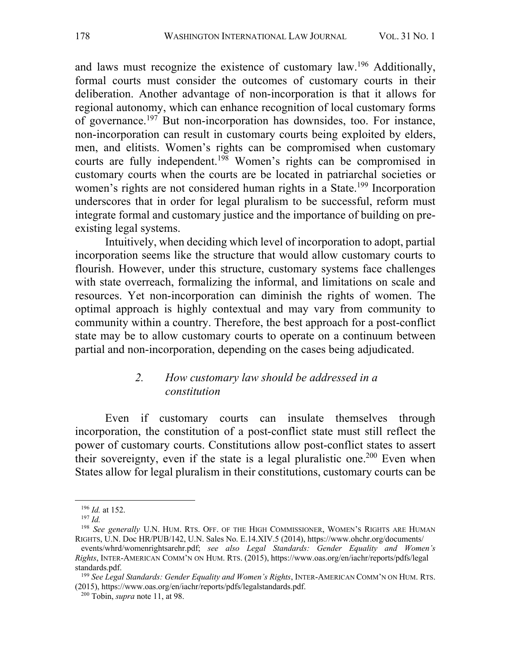and laws must recognize the existence of customary law.196 Additionally, formal courts must consider the outcomes of customary courts in their deliberation. Another advantage of non-incorporation is that it allows for regional autonomy, which can enhance recognition of local customary forms of governance.197 But non-incorporation has downsides, too. For instance, non-incorporation can result in customary courts being exploited by elders, men, and elitists. Women's rights can be compromised when customary courts are fully independent.<sup>198</sup> Women's rights can be compromised in customary courts when the courts are be located in patriarchal societies or women's rights are not considered human rights in a State.<sup>199</sup> Incorporation underscores that in order for legal pluralism to be successful, reform must integrate formal and customary justice and the importance of building on preexisting legal systems.

Intuitively, when deciding which level of incorporation to adopt, partial incorporation seems like the structure that would allow customary courts to flourish. However, under this structure, customary systems face challenges with state overreach, formalizing the informal, and limitations on scale and resources. Yet non-incorporation can diminish the rights of women. The optimal approach is highly contextual and may vary from community to community within a country. Therefore, the best approach for a post-conflict state may be to allow customary courts to operate on a continuum between partial and non-incorporation, depending on the cases being adjudicated.

#### *2. How customary law should be addressed in a constitution*

Even if customary courts can insulate themselves through incorporation, the constitution of a post-conflict state must still reflect the power of customary courts. Constitutions allow post-conflict states to assert their sovereignty, even if the state is a legal pluralistic one.<sup>200</sup> Even when States allow for legal pluralism in their constitutions, customary courts can be

<sup>196</sup> *Id.* at 152.

<sup>197</sup> *Id.*

<sup>&</sup>lt;sup>198</sup> See generally U.N. HUM. RTS. OFF. OF THE HIGH COMMISSIONER, WOMEN'S RIGHTS ARE HUMAN RIGHTS, U.N. Doc HR/PUB/142, U.N. Sales No. E.14.XIV.5 (2014), https://www.ohchr.org/documents/

events/whrd/womenrightsarehr.pdf; *see also Legal Standards: Gender Equality and Women's Rights*, INTER-AMERICAN COMM'N ON HUM. RTS. (2015), https://www.oas.org/en/iachr/reports/pdfs/legal standards.pdf.

<sup>199</sup> *See Legal Standards: Gender Equality and Women's Rights*, INTER-AMERICAN COMM'N ON HUM. RTS. (2015), https://www.oas.org/en/iachr/reports/pdfs/legalstandards.pdf.

<sup>200</sup> Tobin, *supra* note 11, at 98.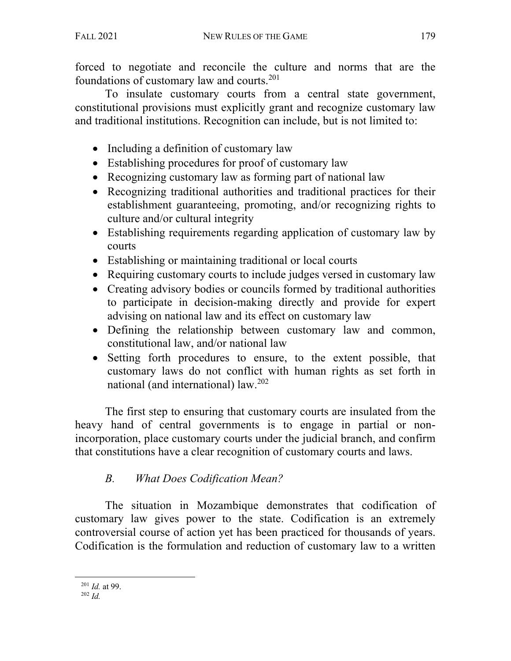forced to negotiate and reconcile the culture and norms that are the foundations of customary law and courts.201

To insulate customary courts from a central state government, constitutional provisions must explicitly grant and recognize customary law and traditional institutions. Recognition can include, but is not limited to:

- Including a definition of customary law
- Establishing procedures for proof of customary law
- Recognizing customary law as forming part of national law
- Recognizing traditional authorities and traditional practices for their establishment guaranteeing, promoting, and/or recognizing rights to culture and/or cultural integrity
- Establishing requirements regarding application of customary law by courts
- Establishing or maintaining traditional or local courts
- Requiring customary courts to include judges versed in customary law
- Creating advisory bodies or councils formed by traditional authorities to participate in decision-making directly and provide for expert advising on national law and its effect on customary law
- Defining the relationship between customary law and common, constitutional law, and/or national law
- Setting forth procedures to ensure, to the extent possible, that customary laws do not conflict with human rights as set forth in national (and international) law. 202

The first step to ensuring that customary courts are insulated from the heavy hand of central governments is to engage in partial or nonincorporation, place customary courts under the judicial branch, and confirm that constitutions have a clear recognition of customary courts and laws.

# *B. What Does Codification Mean?*

The situation in Mozambique demonstrates that codification of customary law gives power to the state. Codification is an extremely controversial course of action yet has been practiced for thousands of years. Codification is the formulation and reduction of customary law to a written

<sup>201</sup> *Id.* at 99.

<sup>202</sup> *Id.*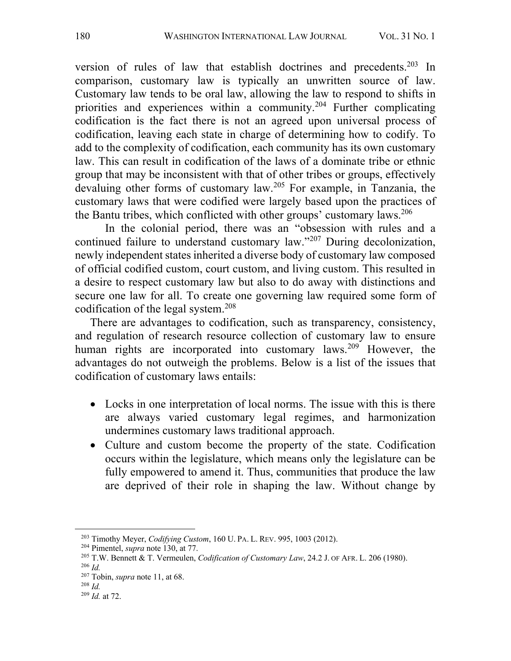version of rules of law that establish doctrines and precedents.<sup>203</sup> In comparison, customary law is typically an unwritten source of law. Customary law tends to be oral law, allowing the law to respond to shifts in priorities and experiences within a community.204 Further complicating codification is the fact there is not an agreed upon universal process of codification, leaving each state in charge of determining how to codify. To add to the complexity of codification, each community has its own customary law. This can result in codification of the laws of a dominate tribe or ethnic group that may be inconsistent with that of other tribes or groups, effectively devaluing other forms of customary law.205 For example, in Tanzania, the customary laws that were codified were largely based upon the practices of the Bantu tribes, which conflicted with other groups' customary laws.<sup>206</sup>

In the colonial period, there was an "obsession with rules and a continued failure to understand customary law."207 During decolonization, newly independent states inherited a diverse body of customary law composed of official codified custom, court custom, and living custom. This resulted in a desire to respect customary law but also to do away with distinctions and secure one law for all. To create one governing law required some form of codification of the legal system.208

There are advantages to codification, such as transparency, consistency, and regulation of research resource collection of customary law to ensure human rights are incorporated into customary laws.<sup>209</sup> However, the advantages do not outweigh the problems. Below is a list of the issues that codification of customary laws entails:

- Locks in one interpretation of local norms. The issue with this is there are always varied customary legal regimes, and harmonization undermines customary laws traditional approach.
- Culture and custom become the property of the state. Codification occurs within the legislature, which means only the legislature can be fully empowered to amend it. Thus, communities that produce the law are deprived of their role in shaping the law. Without change by

<sup>&</sup>lt;sup>203</sup> Timothy Meyer, *Codifying Custom*, 160 U. PA. L. REV. 995, 1003 (2012).<br><sup>204</sup> Pimentel, *supra* note 130, at 77.<br><sup>205</sup> T.W. Bennett & T. Vermeulen, *Codification of Customary Law*, 24.2 J. OF AFR. L. 206 (1980).

<sup>206</sup> *Id.* 

<sup>207</sup> Tobin, *supra* note 11, at 68.

<sup>208</sup> *Id.*

<sup>209</sup> *Id.* at 72.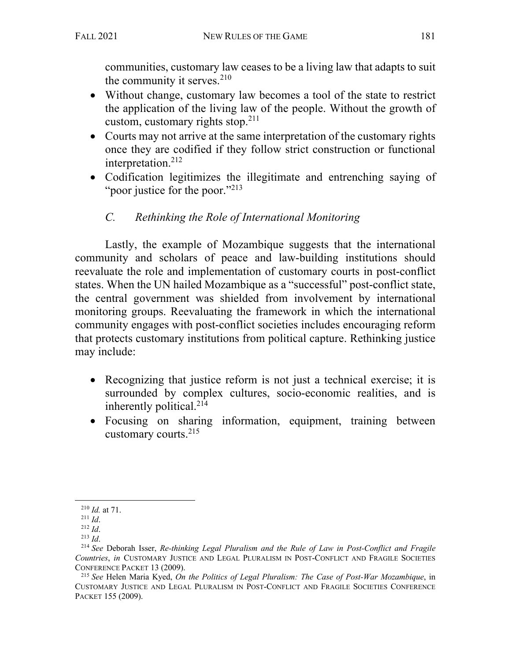communities, customary law ceases to be a living law that adapts to suit the community it serves. $210$ 

- Without change, customary law becomes a tool of the state to restrict the application of the living law of the people. Without the growth of custom, customary rights stop. $211$
- Courts may not arrive at the same interpretation of the customary rights once they are codified if they follow strict construction or functional interpretation.212
- Codification legitimizes the illegitimate and entrenching saying of "poor justice for the poor."<sup>213</sup>

# *C. Rethinking the Role of International Monitoring*

Lastly, the example of Mozambique suggests that the international community and scholars of peace and law-building institutions should reevaluate the role and implementation of customary courts in post-conflict states. When the UN hailed Mozambique as a "successful" post-conflict state, the central government was shielded from involvement by international monitoring groups. Reevaluating the framework in which the international community engages with post-conflict societies includes encouraging reform that protects customary institutions from political capture. Rethinking justice may include:

- Recognizing that justice reform is not just a technical exercise; it is surrounded by complex cultures, socio-economic realities, and is inherently political.<sup>214</sup>
- Focusing on sharing information, equipment, training between customary courts. 215

<sup>210</sup> *Id.* at 71.

<sup>211</sup> *Id*.

<sup>212</sup> *Id*.

<sup>213</sup> *Id*.

<sup>214</sup> *See* Deborah Isser, *Re-thinking Legal Pluralism and the Rule of Law in Post-Conflict and Fragile Countries*, *in* CUSTOMARY JUSTICE AND LEGAL PLURALISM IN POST-CONFLICT AND FRAGILE SOCIETIES CONFERENCE PACKET 13 (2009).

<sup>215</sup> *See* Helen Maria Kyed, *On the Politics of Legal Pluralism: The Case of Post-War Mozambique*, in CUSTOMARY JUSTICE AND LEGAL PLURALISM IN POST-CONFLICT AND FRAGILE SOCIETIES CONFERENCE PACKET 155 (2009).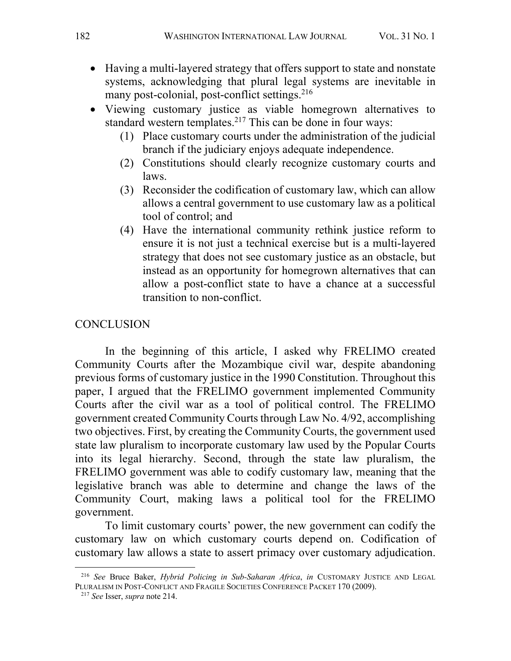- Having a multi-layered strategy that offers support to state and nonstate systems, acknowledging that plural legal systems are inevitable in many post-colonial, post-conflict settings. 216
- Viewing customary justice as viable homegrown alternatives to standard western templates.<sup>217</sup> This can be done in four ways:
	- (1) Place customary courts under the administration of the judicial branch if the judiciary enjoys adequate independence.
	- (2) Constitutions should clearly recognize customary courts and laws.
	- (3) Reconsider the codification of customary law, which can allow allows a central government to use customary law as a political tool of control; and
	- (4) Have the international community rethink justice reform to ensure it is not just a technical exercise but is a multi-layered strategy that does not see customary justice as an obstacle, but instead as an opportunity for homegrown alternatives that can allow a post-conflict state to have a chance at a successful transition to non-conflict.

#### **CONCLUSION**

In the beginning of this article, I asked why FRELIMO created Community Courts after the Mozambique civil war, despite abandoning previous forms of customary justice in the 1990 Constitution. Throughout this paper, I argued that the FRELIMO government implemented Community Courts after the civil war as a tool of political control. The FRELIMO government created Community Courts through Law No. 4/92, accomplishing two objectives. First, by creating the Community Courts, the government used state law pluralism to incorporate customary law used by the Popular Courts into its legal hierarchy. Second, through the state law pluralism, the FRELIMO government was able to codify customary law, meaning that the legislative branch was able to determine and change the laws of the Community Court, making laws a political tool for the FRELIMO government.

To limit customary courts' power, the new government can codify the customary law on which customary courts depend on. Codification of customary law allows a state to assert primacy over customary adjudication.

<sup>216</sup> *See* Bruce Baker, *Hybrid Policing in Sub-Saharan Africa*, *in* CUSTOMARY JUSTICE AND LEGAL PLURALISM IN POST-CONFLICT AND FRAGILE SOCIETIES CONFERENCE PACKET 170 (2009).

<sup>217</sup> *See* Isser, *supra* note 214.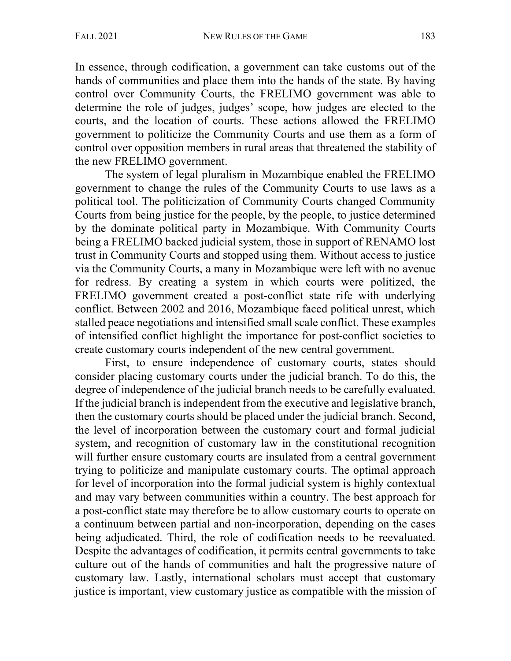In essence, through codification, a government can take customs out of the hands of communities and place them into the hands of the state. By having control over Community Courts, the FRELIMO government was able to determine the role of judges, judges' scope, how judges are elected to the courts, and the location of courts. These actions allowed the FRELIMO government to politicize the Community Courts and use them as a form of control over opposition members in rural areas that threatened the stability of the new FRELIMO government.

The system of legal pluralism in Mozambique enabled the FRELIMO government to change the rules of the Community Courts to use laws as a political tool. The politicization of Community Courts changed Community Courts from being justice for the people, by the people, to justice determined by the dominate political party in Mozambique. With Community Courts being a FRELIMO backed judicial system, those in support of RENAMO lost trust in Community Courts and stopped using them. Without access to justice via the Community Courts, a many in Mozambique were left with no avenue for redress. By creating a system in which courts were politized, the FRELIMO government created a post-conflict state rife with underlying conflict. Between 2002 and 2016, Mozambique faced political unrest, which stalled peace negotiations and intensified small scale conflict. These examples of intensified conflict highlight the importance for post-conflict societies to create customary courts independent of the new central government.

First, to ensure independence of customary courts, states should consider placing customary courts under the judicial branch. To do this, the degree of independence of the judicial branch needs to be carefully evaluated. If the judicial branch is independent from the executive and legislative branch, then the customary courts should be placed under the judicial branch. Second, the level of incorporation between the customary court and formal judicial system, and recognition of customary law in the constitutional recognition will further ensure customary courts are insulated from a central government trying to politicize and manipulate customary courts. The optimal approach for level of incorporation into the formal judicial system is highly contextual and may vary between communities within a country. The best approach for a post-conflict state may therefore be to allow customary courts to operate on a continuum between partial and non-incorporation, depending on the cases being adjudicated. Third, the role of codification needs to be reevaluated. Despite the advantages of codification, it permits central governments to take culture out of the hands of communities and halt the progressive nature of customary law. Lastly, international scholars must accept that customary justice is important, view customary justice as compatible with the mission of